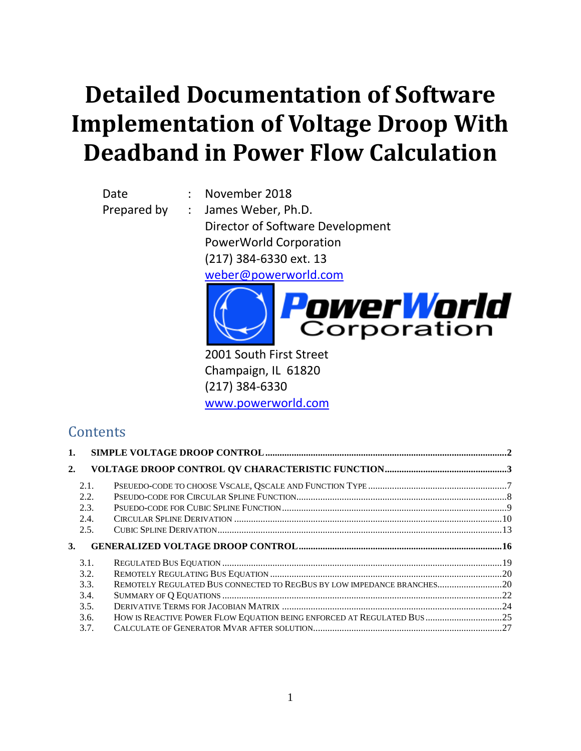# **Detailed Documentation of Software Implementation of Voltage Droop With Deadband in Power Flow Calculation**

Date : November 2018 Prepared by : James Weber, Ph.D.

Director of Software Development PowerWorld Corporation (217) 384-6330 ext. 13 [weber@powerworld.com](mailto:weber@powerworld.com)



2001 South First Street Champaign, IL 61820 (217) 384-6330 [www.powerworld.com](http://www.powerworld.com/)

# **Contents**

| 1. |      |                                                                         |  |
|----|------|-------------------------------------------------------------------------|--|
| 2. |      |                                                                         |  |
|    | 2.1. |                                                                         |  |
|    | 2.2. |                                                                         |  |
|    | 2.3. |                                                                         |  |
|    | 2.4. |                                                                         |  |
|    | 2.5. |                                                                         |  |
|    |      |                                                                         |  |
| 3. |      |                                                                         |  |
|    | 3.1. |                                                                         |  |
|    | 3.2. |                                                                         |  |
|    | 3.3. | REMOTELY REGULATED BUS CONNECTED TO REGBUS BY LOW IMPEDANCE BRANCHES 20 |  |
|    | 3.4. |                                                                         |  |
|    | 3.5. |                                                                         |  |
|    | 3.6. | HOW IS REACTIVE POWER FLOW EQUATION BEING ENFORCED AT REGULATED BUS 25  |  |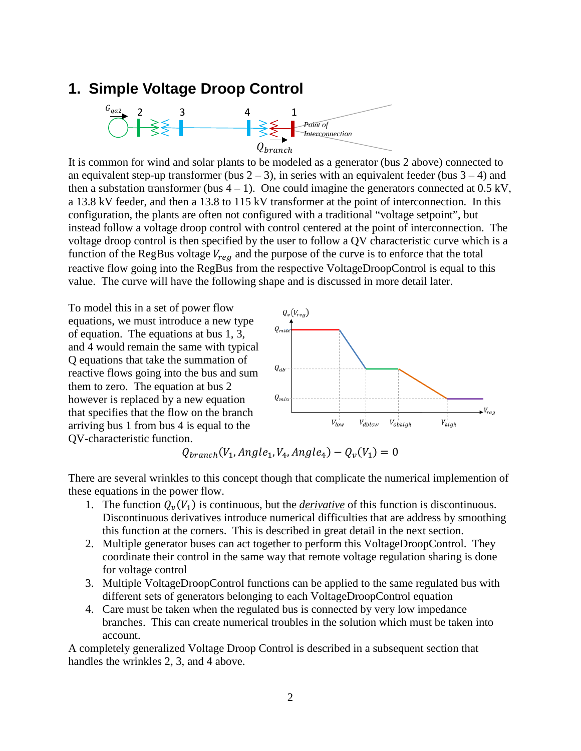### <span id="page-1-0"></span>**1. Simple Voltage Droop Control**



It is common for wind and solar plants to be modeled as a generator (bus 2 above) connected to an equivalent step-up transformer (bus  $2 - 3$ ), in series with an equivalent feeder (bus  $3 - 4$ ) and then a substation transformer (bus  $4 - 1$ ). One could imagine the generators connected at 0.5 kV, a 13.8 kV feeder, and then a 13.8 to 115 kV transformer at the point of interconnection. In this configuration, the plants are often not configured with a traditional "voltage setpoint", but instead follow a voltage droop control with control centered at the point of interconnection. The voltage droop control is then specified by the user to follow a QV characteristic curve which is a function of the RegBus voltage  $V_{req}$  and the purpose of the curve is to enforce that the total reactive flow going into the RegBus from the respective VoltageDroopControl is equal to this value. The curve will have the following shape and is discussed in more detail later.

To model this in a set of power flow equations, we must introduce a new type of equation. The equations at bus 1, 3, and 4 would remain the same with typical Q equations that take the summation of reactive flows going into the bus and sum them to zero. The equation at bus 2 however is replaced by a new equation that specifies that the flow on the branch arriving bus 1 from bus 4 is equal to the QV-characteristic function.



 $Q_{branch}(V_1, Angle_1, V_4, Angle_4) - Q_{\nu}(V_1) = 0$ 

There are several wrinkles to this concept though that complicate the numerical implemention of these equations in the power flow.

- 1. The function  $Q_{\nu}(V_1)$  is continuous, but the *derivative* of this function is discontinuous. Discontinuous derivatives introduce numerical difficulties that are address by smoothing this function at the corners. This is described in great detail in the next section.
- 2. Multiple generator buses can act together to perform this VoltageDroopControl. They coordinate their control in the same way that remote voltage regulation sharing is done for voltage control
- 3. Multiple VoltageDroopControl functions can be applied to the same regulated bus with different sets of generators belonging to each VoltageDroopControl equation
- 4. Care must be taken when the regulated bus is connected by very low impedance branches. This can create numerical troubles in the solution which must be taken into account.

A completely generalized Voltage Droop Control is described in a subsequent section that handles the wrinkles 2, 3, and 4 above.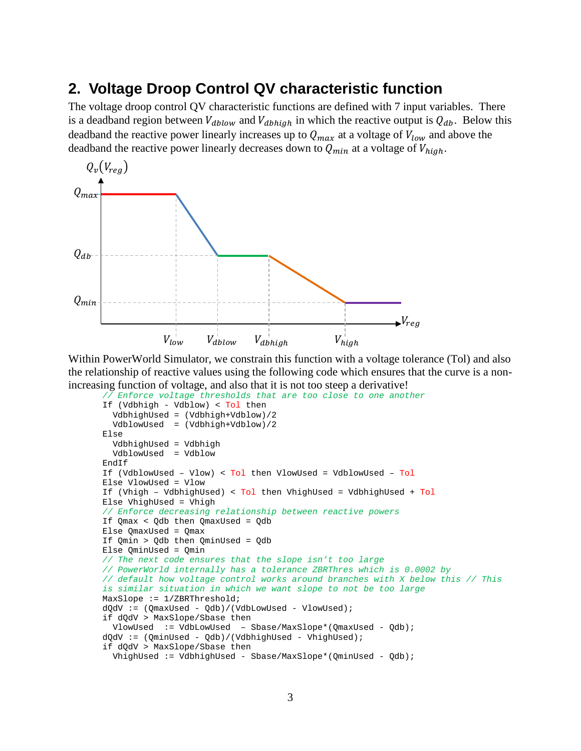# <span id="page-2-0"></span>**2. Voltage Droop Control QV characteristic function**

The voltage droop control QV characteristic functions are defined with 7 input variables. There is a deadband region between  $V_{dblow}$  and  $V_{dblain}$  in which the reactive output is  $Q_{db}$ . Below this deadband the reactive power linearly increases up to  $Q_{max}$  at a voltage of  $V_{low}$  and above the deadband the reactive power linearly decreases down to  $Q_{min}$  at a voltage of  $V_{high}$ .



Within PowerWorld Simulator, we constrain this function with a voltage tolerance (Tol) and also the relationship of reactive values using the following code which ensures that the curve is a nonincreasing function of voltage, and also that it is not too steep a derivative!

```
// Enforce voltage thresholds that are too close to one another
If (Vdbhigh - Vdblow) < Tol then
   VdbhighUsed = (Vdbhigh+Vdblow)/2
   VdblowUsed = (Vdbhigh+Vdblow)/2
Else
   VdbhighUsed = Vdbhigh
   VdblowUsed = Vdblow
EndIf
If (VdblowUsed – Vlow) < Tol then VlowUsed = VdblowUsed – Tol
Else VlowUsed = Vlow
If (Vhigh – VdbhighUsed) < Tol then VhighUsed = VdbhighUsed + Tol
Else VhighUsed = Vhigh
// Enforce decreasing relationship between reactive powers
If Qmax < Qdb then QmaxUsed = Qdb
Else QmaxUsed = Qmax
If Qmin > Qdb then QminUsed = Qdb
Else QminUsed = Qmin
// The next code ensures that the slope isn't too large
// PowerWorld internally has a tolerance ZBRThres which is 0.0002 by 
// default how voltage control works around branches with X below this // This 
is similar situation in which we want slope to not be too large
MaxSlope := 1/ZBRThreshold;
dQdV := (QmaxUsed - Qdb)/(VdbLowUsed - VlowUsed);
if dQdV > MaxSlope/Sbase then 
   VlowUsed := VdbLowUsed – Sbase/MaxSlope*(QmaxUsed - Qdb);
dQdV := (QminUsed - Qdb)/(VdbhighUsed - VhighUsed);
if dQdV > MaxSlope/Sbase then 
  VhighUsed := VdbhighUsed - Sbase/MaxSlope*(QminUsed - Qdb);
```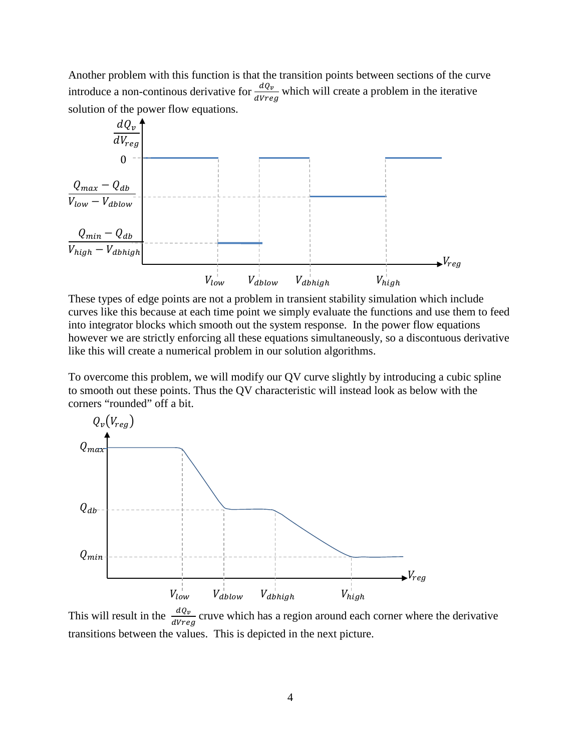Another problem with this function is that the transition points between sections of the curve introduce a non-continous derivative for  $\frac{dQ_v}{dVreg}$  which will create a problem in the iterative solution of the power flow equations.



These types of edge points are not a problem in transient stability simulation which include curves like this because at each time point we simply evaluate the functions and use them to feed into integrator blocks which smooth out the system response. In the power flow equations however we are strictly enforcing all these equations simultaneously, so a discontuous derivative like this will create a numerical problem in our solution algorithms.

To overcome this problem, we will modify our QV curve slightly by introducing a cubic spline to smooth out these points. Thus the QV characteristic will instead look as below with the corners "rounded" off a bit.



This will result in the  $\frac{dQ_v}{dVreg}$  cruve which has a region around each corner where the derivative transitions between the values. This is depicted in the next picture.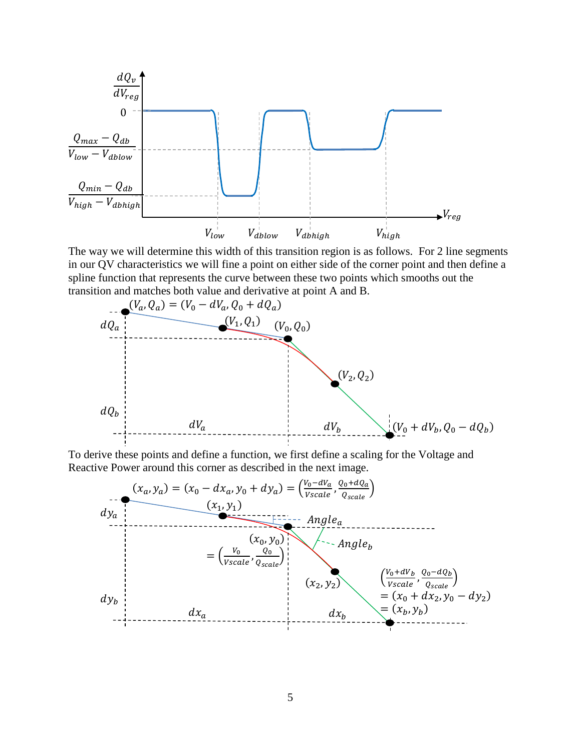

The way we will determine this width of this transition region is as follows. For 2 line segments in our QV characteristics we will fine a point on either side of the corner point and then define a spline function that represents the curve between these two points which smooths out the transition and matches both value and derivative at point A and B.



To derive these points and define a function, we first define a scaling for the Voltage and Reactive Power around this corner as described in the next image.

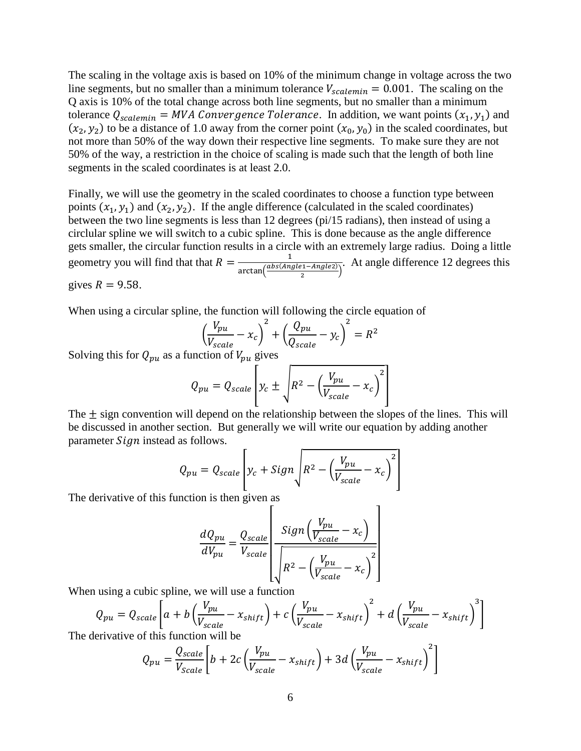The scaling in the voltage axis is based on 10% of the minimum change in voltage across the two line segments, but no smaller than a minimum tolerance  $V_{scalemin} = 0.001$ . The scaling on the Q axis is 10% of the total change across both line segments, but no smaller than a minimum tolerance  $Q_{scalar} = MVA$  Convergence Tolerance. In addition, we want points  $(x_1, y_1)$  and  $(x_2, y_2)$  to be a distance of 1.0 away from the corner point  $(x_0, y_0)$  in the scaled coordinates, but not more than 50% of the way down their respective line segments. To make sure they are not 50% of the way, a restriction in the choice of scaling is made such that the length of both line segments in the scaled coordinates is at least 2.0.

Finally, we will use the geometry in the scaled coordinates to choose a function type between points  $(x_1, y_1)$  and  $(x_2, y_2)$ . If the angle difference (calculated in the scaled coordinates) between the two line segments is less than 12 degrees (pi/15 radians), then instead of using a circlular spline we will switch to a cubic spline. This is done because as the angle difference gets smaller, the circular function results in a circle with an extremely large radius. Doing a little geometry you will find that that  $R = \frac{1}{\arctan(\frac{abs(Angle1 - Angle2)}{2})}$ . At angle difference 12 degrees this gives  $R = 9.58$ .

When using a circular spline, the function will following the circle equation of

$$
\left(\frac{V_{pu}}{V_{scale}} - x_c\right)^2 + \left(\frac{Q_{pu}}{Q_{scale}} - y_c\right)^2 = R^2
$$

Solving this for  $Q_{pu}$  as a function of  $V_{pu}$  gives

$$
Q_{pu} = Q_{scale} \left[ y_c \pm \sqrt{R^2 - \left(\frac{V_{pu}}{V_{scale}} - x_c\right)^2} \right]
$$

The  $\pm$  sign convention will depend on the relationship between the slopes of the lines. This will be discussed in another section. But generally we will write our equation by adding another parameter *Sign* instead as follows.

$$
Q_{pu} = Q_{scale} \left[ y_c + Sign \sqrt{R^2 - \left( \frac{V_{pu}}{V_{scale}} - x_c \right)^2} \right]
$$

The derivative of this function is then given as

$$
\frac{dQ_{pu}}{dV_{pu}} = \frac{Q_{scale}}{V_{scale}} \left[ \frac{Sign\left(\frac{V_{pu}}{V_{scale}} - x_c\right)}{\sqrt{R^2 - \left(\frac{V_{pu}}{V_{scale}} - x_c\right)^2}} \right]
$$

When using a cubic spline, we will use a function

$$
Q_{pu} = Q_{scale} \left[ a + b \left( \frac{V_{pu}}{V_{scale}} - x_{shift} \right) + c \left( \frac{V_{pu}}{V_{scale}} - x_{shift} \right)^2 + d \left( \frac{V_{pu}}{V_{scale}} - x_{shift} \right)^3 \right]
$$

The derivative of this function will be

$$
Q_{pu} = \frac{Q_{scale}}{V_{Scale}} \bigg[ b + 2c \left( \frac{V_{pu}}{V_{scale}} - x_{shift} \right) + 3d \left( \frac{V_{pu}}{V_{scale}} - x_{shift} \right)^2 \bigg]
$$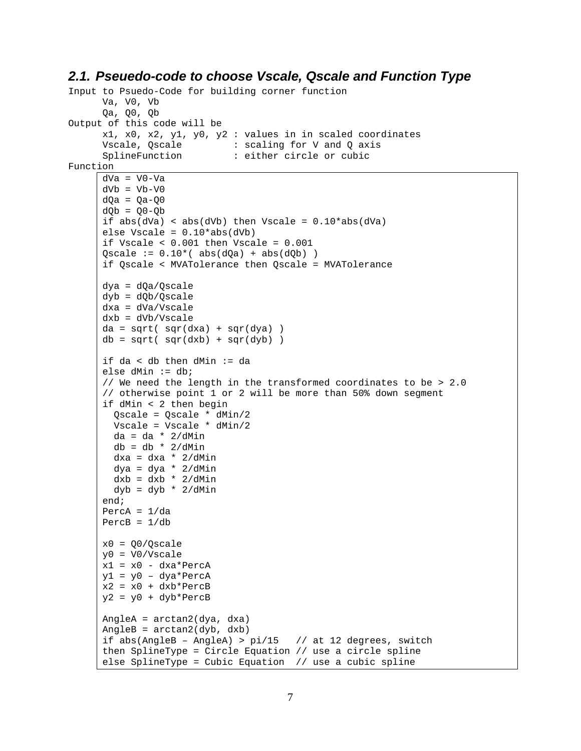### <span id="page-6-0"></span>*2.1. Pseuedo-code to choose Vscale, Qscale and Function Type*

```
Input to Psuedo-Code for building corner function
      Va, V0, Vb 
      Qa, Q0, Qb
Output of this code will be
      x1, x0, x2, y1, y0, y2 : values in in scaled coordinates 
      Vscale, Qscale : scaling for V and Q axis<br>
SplineFunction : either circle or cubic
                             : either circle or cubic
Function
     dVa = V0-VadVb = Vb-V0dOa = Oa-OOdQb = Q0-Qbif abs(dVa) < abs(dVb) then Vscale = 0.10*abs(dVa)
     else Vscale = 0.10*abs(dVb)if Vscale < 0.001 then Vscale = 0.001Qscale := 0.10*(abs(dQa) + abs(dQb))if Qscale < MVATolerance then Qscale = MVATolerance
      dya = dQa/Qscale
      dyb = dQb/Qscale
      dxa = dVa/Vscale
      dxb = dVb/Vscale
      da = sqrt( sqr(dxa) + sqr(dya) )
      db = sqrt( sqrt(dxb) + sqrt(dyb) )if da < db then dMin := da
      else dMin := db;
      // We need the length in the transformed coordinates to be > 2.0
      // otherwise point 1 or 2 will be more than 50% down segment
      if dMin < 2 then begin
        Qscale = Qscale * dMin/2 Vscale = Vscale * dMin/2
         da = da * 2/dMin
        db = db * 2/dMin dxa = dxa * 2/dMin
         dya = dya * 2/dMin
        dxb = dxb * 2/dMindyb = dyb * 2/dMinend;
      PercA = 1/daPercB = 1/dbx0 = Q0/O scaley0 = V0/Vscale
      x1 = x0 - dxa*PercAy1 = y0 – dya*PercA
     x2 = x0 + dxb*PercB
     y2 = y0 + dyb*PercBAngleA = arctan2(dya, dxa)
      AngleB = arctan2(dyb, dxb)if abs(AngleB - AngleA) > pi/15 // at 12 degrees, switch
      then SplineType = Circle Equation // use a circle spline
      else SplineType = Cubic Equation // use a cubic spline
```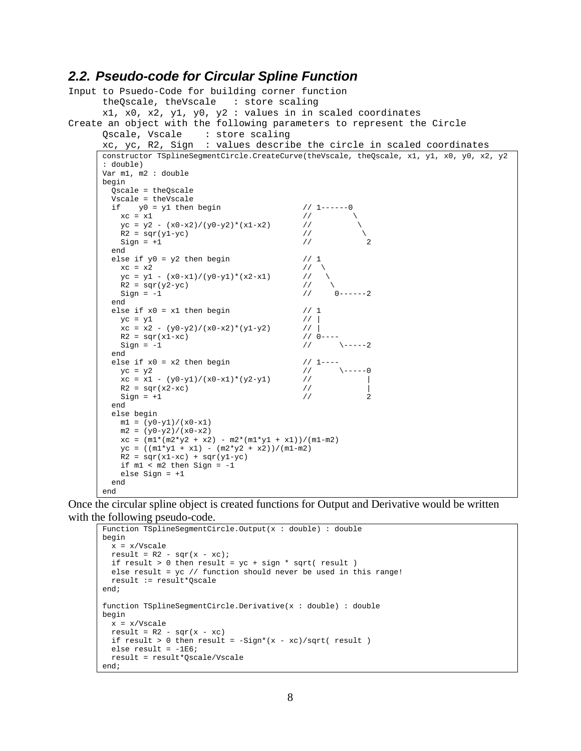### <span id="page-7-0"></span>*2.2. Pseudo-code for Circular Spline Function*

```
Input to Psuedo-Code for building corner function
       theQscale, theVscale : store scaling
      x1, x0, x2, y1, y0, y2 : values in in scaled coordinates
Create an object with the following parameters to represent the Circle<br>Oscale, Vscale : store scaling
                          : store scaling
       xc, yc, R2, Sign : values describe the circle in scaled coordinates
       constructor TSplineSegmentCircle.CreateCurve(theVscale, theQscale, x1, y1, x0, y0, x2, y2
       : double)
      Var m1, m2 : double
      begin
         Qscale = theQscale
         Vscale = theVscale
        if y0 = y1 then begin // 1-----0<br>xc = x1 //
          xc = x1 //<br>
yc = y2 - (x0-x2)/(y0-y2)*(x1-x2) //
          yc = y2 - (x0-x2)/(y0-y2)*(x1-x2) //<br>R2 = sqr(v1-vc) //
          R2 = \text{sqr}(y1-yc) //<br>Sign = +1 //
          Sign = +1 end
        else if y0 = y2 then begin // 1<br>xc = x2 //
       xc = x2 // \
       yc = y1 - (x0-x1)/(y0-y1)*(x2-x1) // \
          R2 = \text{sqr}(y2-yc) // \<br>Sign = -1 // 0------2
          Sign = -1 end
        else if x0 = x1 then begin // 1<br>
vc = v1 // |
          yc = y1 // |<br>xc = x2 - (y0-y2)/(x0-x2)*(y1-y2) // |
          xc = x2 - (y0-y2)/(x0-x2)*(y1-y2) // |<br>R2 = sqr(x1-xc) // 0----
          R2 = \text{sqrt}(x1-xc) // 0----<br>Sign = -1 // \-----2
          Sign = -1 end
        else if x0 = x2 then begin <br>
yc = y2 // 1---0yc = y2 // \qquad \qquad // \qquad \qquadxc = x1 - (y0-y1)/(x0-x1)*(y2-y1) //
          R2 = \text{sqr}(x2-xc) // \mid<br>Sim = +1 // 2
          Sign = +1 end
         else begin
         ml = (y0-y1)/(x0-x1)m2 = (y0-y2)/(x0-x2)xc = (m1*(m2*y2 + x2) - m2*(m1*y1 + x1))/(m1-m2)yc = ((m1*y1 + x1) - (m2*y2 + x2))/(m1-m2)R2 = \text{sqrt}(x1-xc) + \text{sqrt}(y1-yc) if m1 < m2 then Sign = -1 
           else Sign = +1
          end
       end
```
Once the circular spline object is created functions for Output and Derivative would be written with the following pseudo-code.

```
Function TSplineSegmentCircle.Output(x : double) : double
begin
  x = x/Vscaleresult = R2 - \sqrt{sqrt(x - xc)};
 if result > 0 then result = yc + sign * sqrt( result) else result = yc // function should never be used in this range!
  result := result*Qscale
end;
function TSplineSegmentCircle.Derivative(x : double) : double
begin
  x = x/Vscale
 result = R2 - \sqrt{s} - xc)
  if result > 0 then result = -Sign*(x - xc)/sqrt result )
 else result = -1E6;
   result = result*Qscale/Vscale
end;
```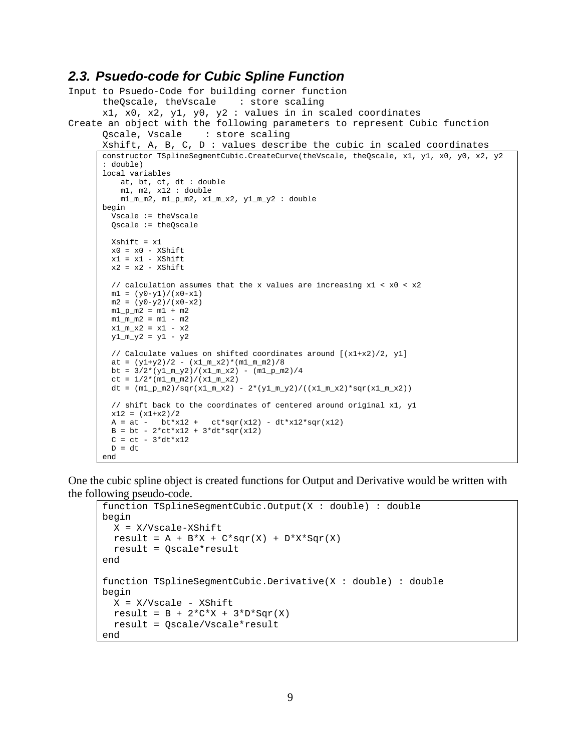### <span id="page-8-0"></span>*2.3. Psuedo-code for Cubic Spline Function*

```
Input to Psuedo-Code for building corner function
       theQscale, theVscale : store scaling
       x1, x0, x2, y1, y0, y2 : values in in scaled coordinates
Create an object with the following parameters to represent Cubic function<br>Oscale, Vscale : store scaling
                            : store scaling
       Xshift, A, B, C, D : values describe the cubic in scaled coordinates
       constructor TSplineSegmentCubic.CreateCurve(theVscale, theQscale, x1, y1, x0, y0, x2, y2 
       : double)
       local variables
           at, bt, ct, dt : double
           m1, m2, x12 : double
          m1_mm2, m1_pm2, x1_mx2, y1_my2 : double
       begin
         Vscale := theVscale
         Qscale := theQscale
         Xshift = x1
        x0 = x0 - XShiftx1 = x1 - xShiftx2 = x2 - XShift // calculation assumes that the x values are increasing x1 < x0 < x2
        ml = (y0-y1)/(x0-x1)m2 = (y0-y2)/(x0-x2)m1 p m2 = m1 + m2m1_m^2 = m1 - m2x1_m_x2 = x1 - x2y1_m_y2 = y1 - y2 // Calculate values on shifted coordinates around [(x1+x2)/2, y1]
         at = (y1+y2)/2 - (x1_m_x2)*(m1_m_m2)/8bt = 3/2*(y1_m_y2)/(x1_m_x2) - (m1_p_m2)/4ct = 1/2*(m1_m_m2)/(x1_m_x2)dt = (m1 p m2)/sqrt(x1 m x2) - 2*(y1 m y2)/((x1 m x2)*sqrt(x1 m x2)) // shift back to the coordinates of centered around original x1, y1
        x12 = (x1+x2)/2A = at - bt*x12 + ct*sqrt(x12) - dt*x12*sqrt(x12)B = bt - 2*ct*x12 + 3*dt*sqrt(x12)C = ct - 3 * dt * x12D = dtend
```
One the cubic spline object is created functions for Output and Derivative would be written with the following pseudo-code.

```
function TSplineSegmentCubic.Output(X : double) : double
begin
  X = X/Vscale-XShift
  result = A + B*X + C*sqrt(X) + D*X*sqrt(X) result = Qscale*result
end
function TSplineSegmentCubic.Derivative(X : double) : double
begin
 X = X/Vscale - XShiftresult = B + 2*C*X + 3*D*Sqr(X) result = Qscale/Vscale*result
end
```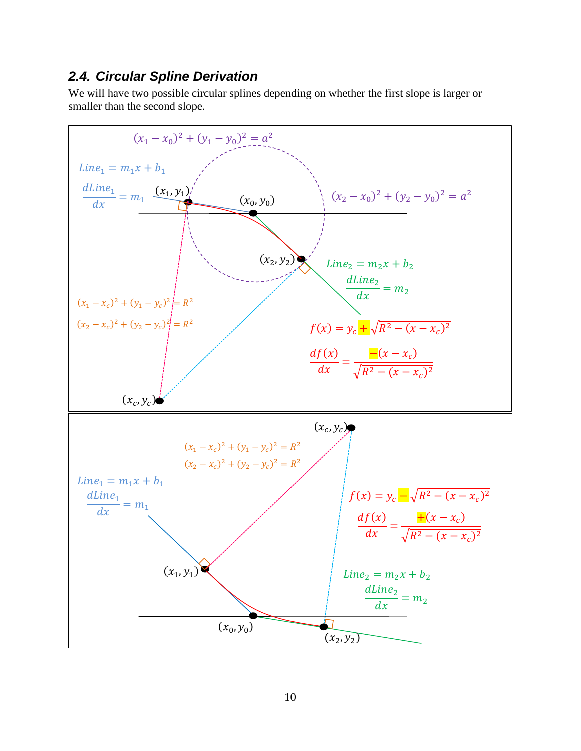### <span id="page-9-0"></span>*2.4. Circular Spline Derivation*

We will have two possible circular splines depending on whether the first slope is larger or smaller than the second slope.

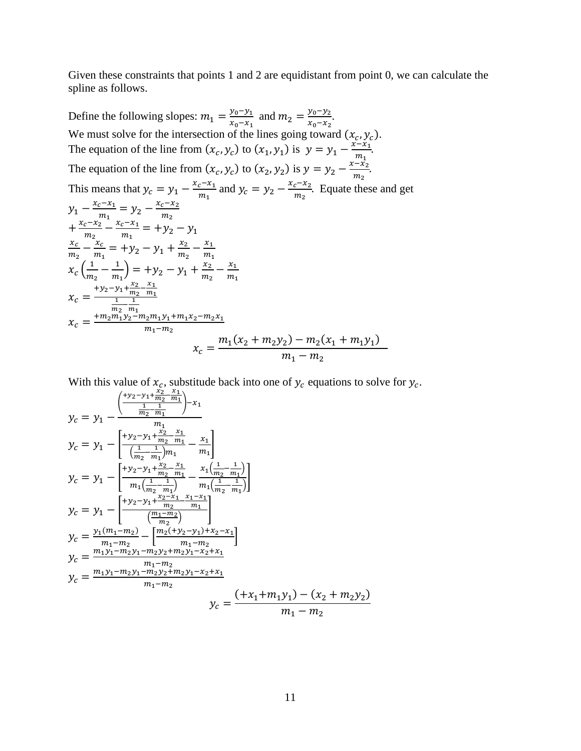Given these constraints that points 1 and 2 are equidistant from point 0, we can calculate the spline as follows.

Define the following slopes:  $m_1 = \frac{y_0 - y_1}{x_0 - x_1}$  and  $m_2 = \frac{y_0 - y_2}{x_0 - x_2}$ .  $0-x_1$   $x_0-x_2$ We must solve for the intersection of the lines going toward  $(x_c, y_c)$ . The equation of the line from  $(x_c, y_c)$  to  $(x_1, y_1)$  is  $y = y_1 - \frac{x - x_1}{m_1}$ . The equation of the line from  $(x_c, y_c)$  to  $(x_2, y_2)$  is  $y = y_2 - \frac{x - x_2}{m_2}$ . This means that  $y_c = y_1 - \frac{x_c - x_1}{m_1}$  and  $y_c = y_2 - \frac{x_c - x_2}{m_2}$ . Equate these and get  $y_1 - \frac{x_c - x_1}{m_1} = y_2 - \frac{x_c - x_2}{m_2}$ <br>+  $\frac{x_c - x_2}{m_2} - \frac{x_c - x_1}{m_1} = +y_2 - y_1$  $m_2$   $m_1$  $rac{x_c}{m_2} - \frac{x_c}{m_1} = +y_2 - y_1 + \frac{x_2}{m_2} - \frac{x_1}{m_1}$  $x_c \left( \frac{1}{m_2} - \frac{1}{m_1} \right) = +y_2 - y_1 + \frac{x_2}{m_2} - \frac{x_1}{m_1}$  $x_c = \frac{+y_2-y_1+\frac{x_2}{m_2}-\frac{x_1}{m_1}}{\frac{1}{m_1}-\frac{1}{m_1}}$  $\frac{n_1}{1}$   $\frac{n_2}{1}$  $x_c = \frac{\frac{1}{m_2} - \frac{1}{m_1}}{x_c = \frac{+m_2 m_1 y_2 - m_2 m_1 y_1 + m_1 x_2 - m_2 x_1}{m_1 - m_2}}$  $x_c = \frac{m_1(x_2 + m_2y_2) - m_2(x_1 + m_1y_1)}{m_1 - m_2}$  $m_1 - m_2$ 

With this value of  $x_c$ , substitude back into one of  $y_c$  equations to solve for  $y_c$ .

$$
y_c = y_1 - \frac{\left(\frac{+y_2 - y_1 + \frac{x_2}{m_2} - \frac{x_1}{m_1}}{m_2 - \frac{1}{m_1}}\right) - x_1}{m_1}
$$
  
\n
$$
y_c = y_1 - \frac{\left[\frac{+y_2 - y_1 + \frac{x_2}{m_2} - \frac{x_1}{m_1}}{m_2 - \frac{1}{m_1}}\right]}{\left(\frac{1}{m_2} - \frac{1}{m_1}\right)m_1} - \frac{x_1}{m_1}\left(\frac{1}{m_2 - \frac{1}{m_1}}\right)}
$$
  
\n
$$
y_c = y_1 - \frac{\left[\frac{+y_2 - y_1 + \frac{x_2}{m_2} - \frac{x_1}{m_1}}{m_1\left(\frac{1}{m_2} - \frac{1}{m_1}\right)}\right]}{\left(\frac{1}{m_2} - \frac{1}{m_1}\right)} - \frac{x_1\left(\frac{1}{m_2} - \frac{1}{m_1}\right)}{m_1\left(\frac{1}{m_2} - \frac{1}{m_1}\right)}
$$
  
\n
$$
y_c = y_1 - \frac{\left[\frac{+y_2 - y_1 + \frac{x_2 - x_1}{m_2} - \frac{x_1 - x_1}{m_1}}{m_2}\right]}{\left(\frac{m_1 - m_2}{m_2}\right)}
$$
  
\n
$$
y_c = \frac{y_1(m_1 - m_2)}{m_1 - m_2} - \frac{\left[\frac{m_2(+y_2 - y_1) + x_2 - x_1}{m_1 - m_2}\right]}{\left(\frac{m_1 - m_2}{m_1 - m_2}\right)}
$$
  
\n
$$
y_c = \frac{m_1 y_1 - m_2 y_1 - m_2 y_2 + m_2 y_1 - x_2 + x_1}{m_1 - m_2}
$$
  
\n
$$
y_c = \frac{\left(\frac{+x_1 + m_1 y_1}{m_1 - m_2}\right)}{\left(\frac{+x_1 + m_1 y_1}{m_1 - m_2}\right)}
$$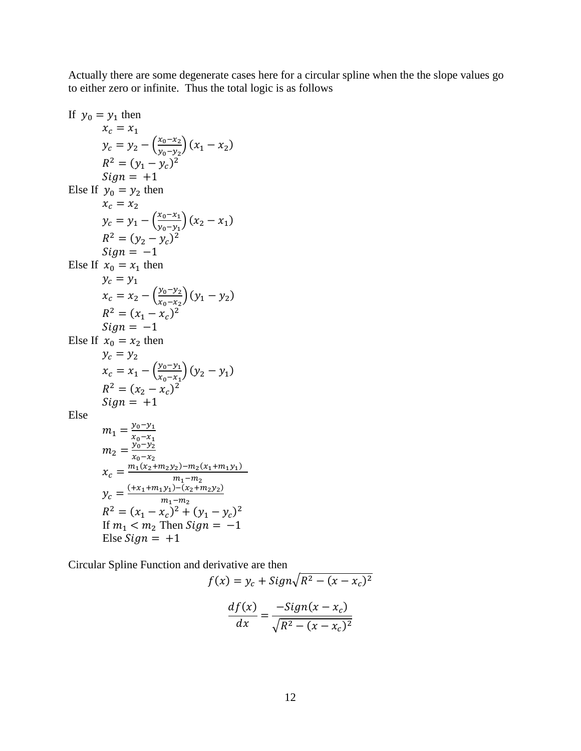Actually there are some degenerate cases here for a circular spline when the the slope values go to either zero or infinite. Thus the total logic is as follows

If 
$$
y_0 = y_1
$$
 then  
\n $x_c = x_1$   
\n $y_c = y_2 - \left(\frac{x_0 - x_2}{y_0 - y_2}\right)(x_1 - x_2)$   
\n $R^2 = (y_1 - y_c)^2$   
\n $Sign = +1$   
\nElse If  $y_0 = y_2$  then  
\n $x_c = x_2$   
\n $y_c = y_1 - \left(\frac{x_0 - x_1}{y_0 - y_1}\right)(x_2 - x_1)$   
\n $R^2 = (y_2 - y_c)^2$   
\n $Sign = -1$   
\nElse If  $x_0 = x_1$  then  
\n $y_c = y_1$   
\n $x_c = x_2 - \left(\frac{y_0 - y_2}{x_0 - x_2}\right)(y_1 - y_2)$   
\n $R^2 = (x_1 - x_c)^2$   
\n $Sign = -1$   
\nElse If  $x_0 = x_2$  then  
\n $y_c = y_2$   
\n $x_c = x_1 - \left(\frac{y_0 - y_1}{x_0 - x_1}\right)(y_2 - y_1)$   
\n $R^2 = (x_2 - x_c)^2$   
\n $Sign = +1$   
\nElse  
\n $m_1 = \frac{y_0 - y_1}{x_0 - x_1}$   
\n $m_2 = \frac{y_0 - y_2}{x_0 - x_2}$   
\n $x_c = \frac{m_1(x_2 + m_2y_2) - m_2(x_1 + m_1y_1)}{m_1 - m_2}$   
\n $y_c = \frac{(\pm x_1 + m_1y_1) - (x_2 + m_2y_2)}{m_1 - m_2}$   
\n $P_c = \frac{y_1 - y_2}{x_1 - x_2}$   
\n $T = \frac{y_2 - y_2}{x_1 - x_2}$   
\n $T = \frac{y_2 - y_2}{x_1 - x_2}$   
\n $T = \frac{y_2 - y_2}{x_1 - x_2}$   
\n $T = \frac{y_2 - y_2}{x_1 - x_2}$   
\n $T = \frac{y_2 - y_2}{x_1 - x$ 

$$
\text{Else } \mathit{Sign} = +1
$$

Circular Spline Function and derivative are then

$$
f(x) = y_c + \frac{Sign\sqrt{R^2 - (x - x_c)^2}}{df(x)} = \frac{-\frac{Sign(x - x_c)}{\sqrt{R^2 - (x - x_c)^2}}}
$$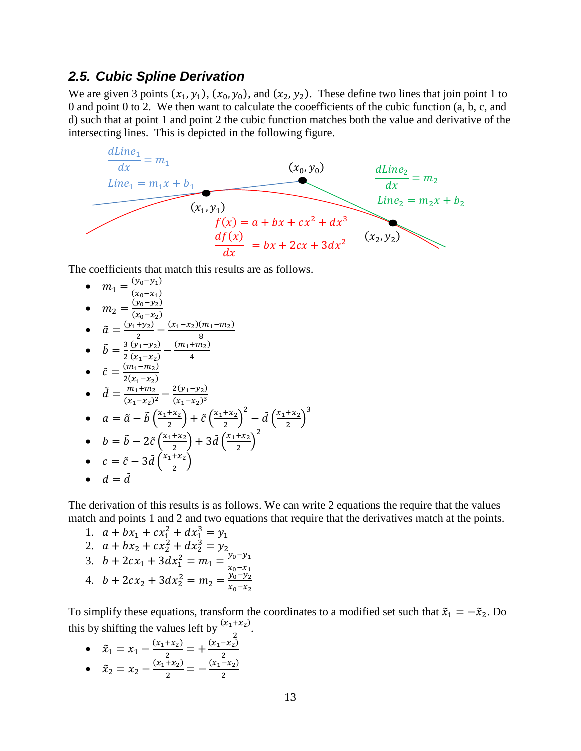#### <span id="page-12-0"></span>*2.5. Cubic Spline Derivation*

We are given 3 points  $(x_1, y_1)$ ,  $(x_0, y_0)$ , and  $(x_2, y_2)$ . These define two lines that join point 1 to 0 and point 0 to 2. We then want to calculate the cooefficients of the cubic function (a, b, c, and d) such that at point 1 and point 2 the cubic function matches both the value and derivative of the intersecting lines. This is depicted in the following figure.



The coefficients that match this results are as follows.

• 
$$
m_1 = \frac{(y_0 - y_1)}{(x_0 - x_1)}
$$
  
\n•  $m_2 = \frac{(y_0 - y_2)}{(x_0 - x_2)}$   
\n•  $\tilde{a} = \frac{(y_1 + y_2)}{2} - \frac{(x_1 - x_2)(m_1 - m_2)}{8}$   
\n•  $\tilde{b} = \frac{3}{2} \frac{(y_1 - y_2)}{(x_1 - x_2)} - \frac{(m_1 + m_2)}{4}$   
\n•  $\tilde{c} = \frac{(m_1 - m_2)}{2(x_1 - x_2)}$   
\n•  $\tilde{d} = \frac{m_1 + m_2}{(x_1 - x_2)^2} - \frac{2(y_1 - y_2)}{(x_1 - x_2)^3}$ 

• 
$$
a = \tilde{a} - \tilde{b} \left( \frac{x_1 + x_2}{2} \right) + \tilde{c} \left( \frac{x_1 + x_2}{2} \right)^2 - \tilde{d} \left( \frac{x_1 + x_2}{2} \right)^3
$$

• 
$$
b = \tilde{b} - 2\tilde{c} \left( \frac{x_1 + x_2}{2} \right) + 3\tilde{d} \left( \frac{x_1 + x_2}{2} \right)
$$
  
\n•  $c = \tilde{c} - 3\tilde{d} \left( \frac{x_1 + x_2}{2} \right)$ 

$$
\bullet \quad d=\tilde{d}
$$

The derivation of this results is as follows. We can write 2 equations the require that the values match and points 1 and 2 and two equations that require that the derivatives match at the points.

1. 
$$
a + bx_1 + cx_1^2 + dx_1^3 = y_1
$$
  
\n2.  $a + bx_2 + cx_2^2 + dx_2^3 = y_2$   
\n3.  $b + 2cx_1 + 3dx_1^2 = m_1 = \frac{y_0 - y_1}{x_0 - x_1}$   
\n4.  $b + 2cx_2 + 3dx_2^2 = m_2 = \frac{y_0 - y_2}{x_0 - x_2}$ 

To simplify these equations, transform the coordinates to a modified set such that  $\tilde{x}_1 = -\tilde{x}_2$ . Do this by shifting the values left by  $\frac{(x_1 + x_2)}{2}$ .

•  $\tilde{x}_1 = x_1 - \frac{(x_1 + x_2)}{2} = +\frac{(x_1 - x_2)}{2}$ <br>
•  $\tilde{x}_2 = x_2 - \frac{(x_1 + x_2)}{2} = -\frac{(x_1 - x_2)}{2}$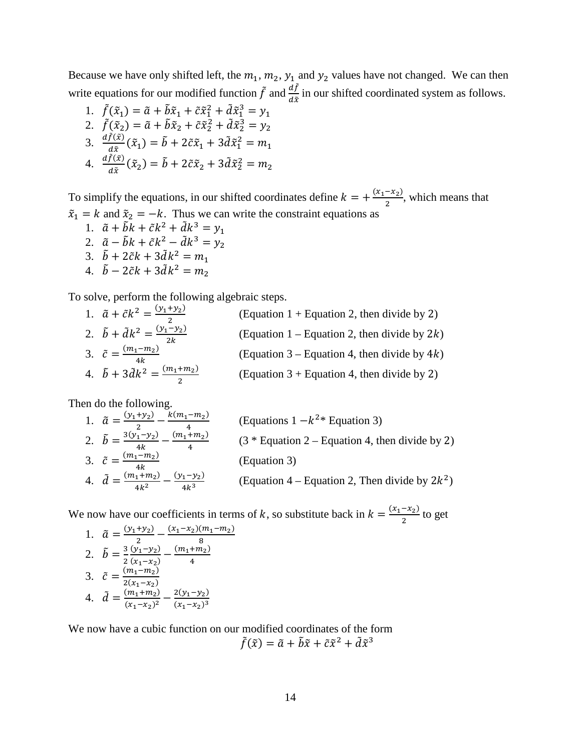Because we have only shifted left, the  $m_1$ ,  $m_2$ ,  $y_1$  and  $y_2$  values have not changed. We can then write equations for our modified function  $\tilde{f}$  and  $\frac{df}{d\tilde{x}}$  in our shifted coordinated system as follows.

1.  $\tilde{f}(\tilde{x}_1) = \tilde{a} + \tilde{b}\tilde{x}_1 + \tilde{c}\tilde{x}_1^2 + \tilde{d}\tilde{x}_1^3 = y_1$ 2.  $\tilde{f}(\tilde{x}_2) = \tilde{a} + \tilde{b}\tilde{x}_2 + \tilde{c}\tilde{x}_2^2 + \tilde{d}\tilde{x}_2^3 = y_2$ 3.  $\frac{df(\tilde{x})}{d\tilde{x}}(\tilde{x}_1) = \tilde{b} + 2\tilde{c}\tilde{x}_1 + 3\tilde{d}\tilde{x}_1^2 = m_1$ 4.  $\frac{df(\tilde{x})}{d\tilde{x}}(\tilde{x}_2) = \tilde{b} + 2\tilde{c}\tilde{x}_2 + 3\tilde{d}\tilde{x}_2^2 = m_2$ 

To simplify the equations, in our shifted coordinates define  $k = +\frac{(x_1 - x_2)}{2}$ , which means that  $\tilde{x}_1 = k$  and  $\tilde{x}_2 = -k$ . Thus we can write the constraint equations as

1.  $\tilde{a} + \tilde{b}k + \tilde{c}k^2 + \tilde{d}k^3 = y_1$ 2.  $\tilde{a} - \tilde{b}k + \tilde{c}k^2 - \tilde{d}k^3 = y_2$ 3.  $\ddot{b} + 2\tilde{c}k + 3\tilde{d}k^2 = m_1$ 4.  $\ddot{b} - 2\tilde{c}k + 3\tilde{d}k^2 = m_2$ 

To solve, perform the following algebraic steps.

| 1. $\tilde{a} + \tilde{c}k^2 = \frac{(y_1 + y_2)}{2}$  | (Equation $1 +$ Equation 2, then divide by 2)   |
|--------------------------------------------------------|-------------------------------------------------|
| 2. $\tilde{b} + \tilde{d}k^2 = \frac{(y_1 - y_2)}{2k}$ | (Equation 1 – Equation 2, then divide by $2k$ ) |
| 3. $\tilde{c} = \frac{(m_1 - m_2)}{4k}$                | (Equation 3 – Equation 4, then divide by $4k$ ) |
| 4. $\tilde{b} + 3\tilde{d}k^2 = \frac{(m_1 + m_2)}{2}$ | (Equation $3 +$ Equation 4, then divide by 2)   |

Then do the following.

| 1. $\tilde{a} = \frac{(y_1 + y_2)}{y_1 + y_2} - \frac{k(m_1 - m_2)}{y_2}$ | (Equations $1 - k^{2*}$ Equation 3)               |
|---------------------------------------------------------------------------|---------------------------------------------------|
| 2. $\tilde{b} = \frac{3(y_1 - y_2)}{y_1 + y_2} - \frac{(m_1 + m_2)}{y_2}$ | $(3 * Equation 2 - Equation 4, then divide by 2)$ |
| 3. $\tilde{c} = \frac{(m_1 - m_2)}{m_1}$                                  | (Equation 3)                                      |
| 4. $\tilde{d} = \frac{(m_1 + m_2)}{4k^2} - \frac{(y_1 - y_2)}{4k^3}$      | (Equation 4 – Equation 2, Then divide by $2k^2$ ) |

We now have our coefficients in terms of k, so substitute back in  $k = \frac{(x_1 - x_2)}{2}$  to get

1. 
$$
\tilde{a} = \frac{(y_1 + y_2)}{2} - \frac{(x_1 - x_2)(m_1 - m_2)}{8}
$$
  
\n2. 
$$
\tilde{b} = \frac{3}{2} \frac{(y_1 - y_2)}{(x_1 - x_2)} - \frac{(m_1 + m_2)}{4}
$$
  
\n3. 
$$
\tilde{c} = \frac{(m_1 - m_2)}{2(x_1 - x_2)}
$$
  
\n4. 
$$
\tilde{d} = \frac{(m_1 + m_2)}{(x_1 - x_2)^2} - \frac{2(y_1 - y_2)}{(x_1 - x_2)^3}
$$

We now have a cubic function on our modified coordinates of the form  $ilde{f}(\tilde{x}) = \tilde{a} + \tilde{b}\tilde{x} + \tilde{c}\tilde{x}^2 + \tilde{d}\tilde{x}^3$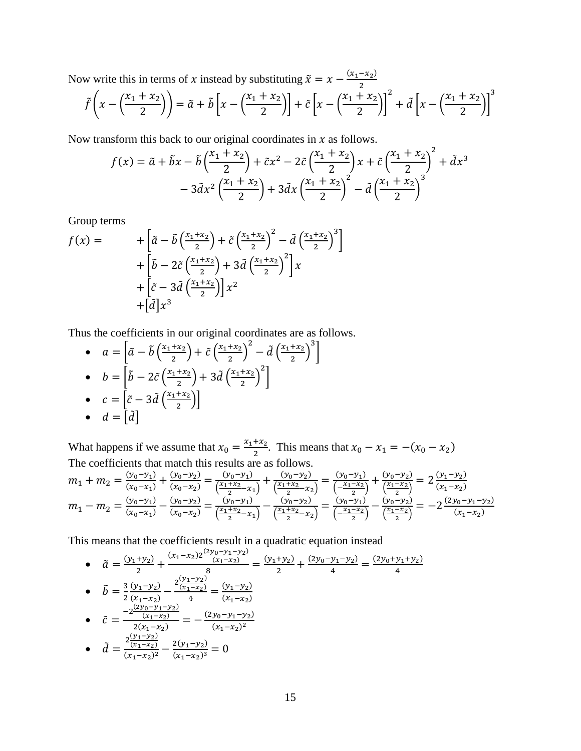Now write this in terms of x instead by substituting  $\tilde{x} = x - \frac{(x_1 - x_2)}{2}$ 

$$
\tilde{f}\left(x - \left(\frac{x_1 + x_2}{2}\right)\right) = \tilde{a} + \tilde{b}\left[x - \left(\frac{x_1 + x_2}{2}\right)\right] + \tilde{c}\left[x - \left(\frac{x_1 + x_2}{2}\right)\right]^2 + \tilde{d}\left[x - \left(\frac{x_1 + x_2}{2}\right)\right]^3
$$

Now transform this back to our original coordinates in  $x$  as follows.

$$
f(x) = \tilde{a} + \tilde{b}x - \tilde{b}\left(\frac{x_1 + x_2}{2}\right) + \tilde{c}x^2 - 2\tilde{c}\left(\frac{x_1 + x_2}{2}\right)x + \tilde{c}\left(\frac{x_1 + x_2}{2}\right)^2 + \tilde{d}x^3
$$

$$
-3\tilde{d}x^2\left(\frac{x_1 + x_2}{2}\right) + 3\tilde{d}x\left(\frac{x_1 + x_2}{2}\right)^2 - \tilde{d}\left(\frac{x_1 + x_2}{2}\right)^3
$$

Group terms

$$
f(x) = \qquad \qquad + \left[ \tilde{a} - \tilde{b} \left( \frac{x_1 + x_2}{2} \right) + \tilde{c} \left( \frac{x_1 + x_2}{2} \right)^2 - \tilde{d} \left( \frac{x_1 + x_2}{2} \right)^3 \right] \\
qquad \qquad + \left[ \tilde{b} - 2\tilde{c} \left( \frac{x_1 + x_2}{2} \right) + 3\tilde{d} \left( \frac{x_1 + x_2}{2} \right)^2 \right] x \\
qquad \qquad + \left[ \tilde{c} - 3\tilde{d} \left( \frac{x_1 + x_2}{2} \right) \right] x^2 \\
qquad \qquad + \left[ \tilde{d} \right] x^3
$$

Thus the coefficients in our original coordinates are as follows.

• 
$$
a = \left[\tilde{a} - \tilde{b}\left(\frac{x_1 + x_2}{2}\right) + \tilde{c}\left(\frac{x_1 + x_2}{2}\right)^2 - \tilde{d}\left(\frac{x_1 + x_2}{2}\right)^3\right]
$$
  
\n•  $b = \left[\tilde{b} - 2\tilde{c}\left(\frac{x_1 + x_2}{2}\right) + 3\tilde{d}\left(\frac{x_1 + x_2}{2}\right)^2\right]$   
\n•  $c = \left[\tilde{c} - 3\tilde{d}\left(\frac{x_1 + x_2}{2}\right)\right]$   
\n•  $d = \left[\tilde{d}\right]$ 

What happens if we assume that  $x_0 = \frac{x_1 + x_2}{2}$ . This means that  $x_0 - x_1 = -(x_0 - x_2)$ The coefficients that match this results are as follows.

$$
m_1 + m_2 = \frac{(y_0 - y_1)}{(x_0 - x_1)} + \frac{(y_0 - y_2)}{(x_0 - x_2)} = \frac{(y_0 - y_1)}{\left(\frac{x_1 + x_2}{2} - x_1\right)} + \frac{(y_0 - y_2)}{\left(\frac{x_1 + x_2}{2} - x_2\right)} = \frac{(y_0 - y_1)}{\left(\frac{x_1 - x_2}{2}\right)} + \frac{(y_0 - y_2)}{\left(\frac{x_1 - x_2}{2}\right)} = 2\frac{(y_1 - y_2)}{(x_1 - x_2)}
$$
\n
$$
m_1 - m_2 = \frac{(y_0 - y_1)}{(x_0 - x_1)} - \frac{(y_0 - y_1)}{(x_0 - x_2)} = \frac{(y_0 - y_1)}{\left(\frac{x_1 + x_2}{2} - x_1\right)} - \frac{(y_0 - y_2)}{\left(\frac{x_1 + x_2}{2} - x_2\right)} = \frac{(y_0 - y_1)}{\left(\frac{x_1 - x_2}{2}\right)} - \frac{(y_0 - y_2)}{\left(\frac{x_1 - x_2}{2}\right)} = -2\frac{(y_0 - y_1 - y_2)}{(x_1 - x_2)}
$$

This means that the coefficients result in a quadratic equation instead

• 
$$
\tilde{a} = \frac{(y_1 + y_2)}{2} + \frac{(x_1 - x_2)2 \frac{(y_0 - y_1 - y_2)}{(x_1 - x_2)}}{8} = \frac{(y_1 + y_2)}{2} + \frac{(2y_0 - y_1 - y_2)}{4} = \frac{(2y_0 + y_1 + y_2)}{4}
$$
  
\n•  $\tilde{b} = \frac{3}{2} \frac{(y_1 - y_2)}{(x_1 - x_2)} - \frac{2 \frac{(y_1 - y_2)}{(x_1 - x_2)}}{4} = \frac{(y_1 - y_2)}{(x_1 - x_2)}$   
\n•  $\tilde{c} = \frac{-2 \frac{(2y_0 - y_1 - y_2)}{(x_1 - x_2)}}{2(x_1 - x_2)} = -\frac{(2y_0 - y_1 - y_2)}{(x_1 - x_2)^2}$   
\n•  $\tilde{d} = \frac{2 \frac{(y_1 - y_2)}{(x_1 - x_2)^2} - \frac{2(y_1 - y_2)}{(x_1 - x_2)^3}}{(x_1 - x_2)^3} = 0$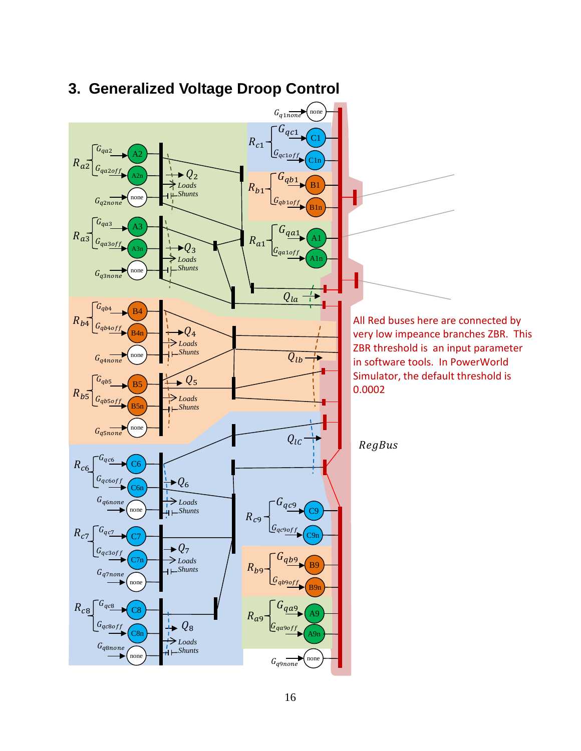

# <span id="page-15-0"></span>**3. Generalized Voltage Droop Control**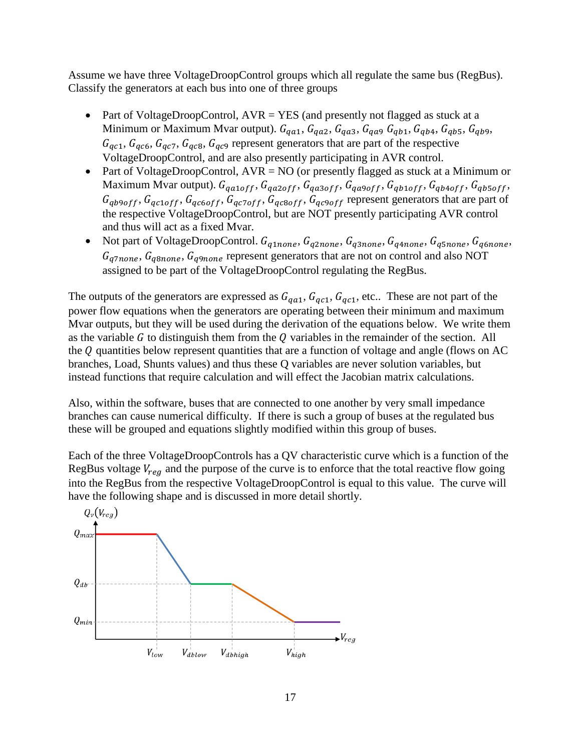Assume we have three VoltageDroopControl groups which all regulate the same bus (RegBus). Classify the generators at each bus into one of three groups

- Part of VoltageDroopControl,  $AVR = YES$  (and presently not flagged as stuck at a Minimum or Maximum Mvar output).  $G_{q\alpha 1}$ ,  $G_{q\alpha 2}$ ,  $G_{q\alpha 3}$ ,  $G_{q\alpha 9}$   $G_{qb1}$ ,  $G_{qb4}$ ,  $G_{qb5}$ ,  $G_{qb9}$ ,  $G_{qc1}, G_{qc6}, G_{qc7}, G_{qc8}, G_{qc9}$  represent generators that are part of the respective VoltageDroopControl, and are also presently participating in AVR control.
- Part of VoltageDroopControl,  $AVR = NO$  (or presently flagged as stuck at a Minimum or Maximum Mvar output).  $G_{q_{a1}off}, G_{q_{a2}off}, G_{q_{a3}off}, G_{q_{a9}off}, G_{q_{b1}off}, G_{q_{b4}off}, G_{q_{b5}off},$  $G_{qb9off}$ ,  $G_{qc1off}$ ,  $G_{qc6off}$ ,  $G_{qc7off}$ ,  $G_{qc8off}$ ,  $G_{qc9off}$  represent generators that are part of the respective VoltageDroopControl, but are NOT presently participating AVR control and thus will act as a fixed Mvar.
- Not part of VoltageDroopControl.  $G_{q1none}$ ,  $G_{q2none}$ ,  $G_{q3none}$ ,  $G_{q4none}$ ,  $G_{q5none}$ ,  $G_{q6none}$ ,  $G_{q7none}$ ,  $G_{q8none}$ ,  $G_{q9none}$  represent generators that are not on control and also NOT assigned to be part of the VoltageDroopControl regulating the RegBus.

The outputs of the generators are expressed as  $G_{q\alpha 1}$ ,  $G_{q\alpha 1}$ ,  $G_{q\alpha 1}$ , etc.. These are not part of the power flow equations when the generators are operating between their minimum and maximum Mvar outputs, but they will be used during the derivation of the equations below. We write them as the variable  $G$  to distinguish them from the  $Q$  variables in the remainder of the section. All the  $Q$  quantities below represent quantities that are a function of voltage and angle (flows on AC branches, Load, Shunts values) and thus these Q variables are never solution variables, but instead functions that require calculation and will effect the Jacobian matrix calculations.

Also, within the software, buses that are connected to one another by very small impedance branches can cause numerical difficulty. If there is such a group of buses at the regulated bus these will be grouped and equations slightly modified within this group of buses.

Each of the three VoltageDroopControls has a QV characteristic curve which is a function of the RegBus voltage  $V_{reg}$  and the purpose of the curve is to enforce that the total reactive flow going into the RegBus from the respective VoltageDroopControl is equal to this value. The curve will have the following shape and is discussed in more detail shortly.

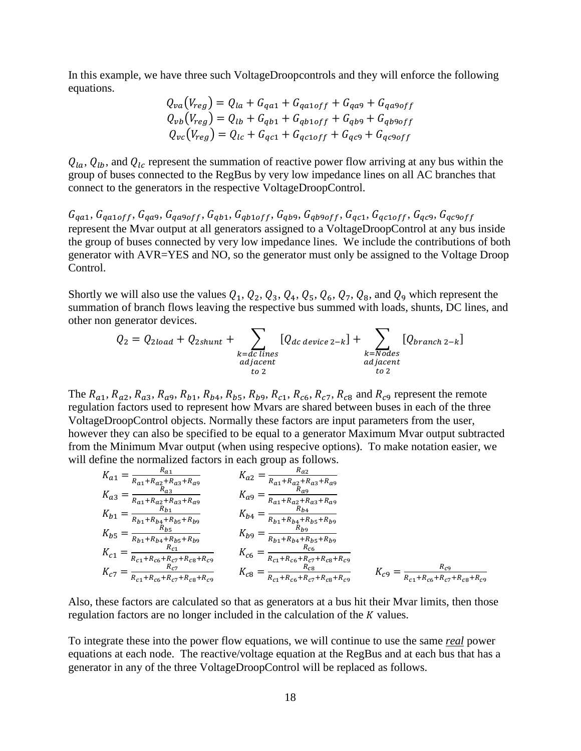In this example, we have three such VoltageDroopcontrols and they will enforce the following equations.

$$
Q_{va}(V_{reg}) = Q_{la} + G_{q\alpha 1} + G_{q\alpha 1\sigma f f} + G_{q\alpha 9} + G_{q\alpha 9\sigma f f}
$$
  
\n
$$
Q_{vb}(V_{reg}) = Q_{lb} + G_{qb1} + G_{qb1\sigma f f} + G_{qb9} + G_{qb9\sigma f f}
$$
  
\n
$$
Q_{vc}(V_{reg}) = Q_{lc} + G_{qc1} + G_{qc1\sigma f f} + G_{qc9} + G_{qc9\sigma f f}
$$

 $Q_{la}$ ,  $Q_{lb}$ , and  $Q_{lc}$  represent the summation of reactive power flow arriving at any bus within the group of buses connected to the RegBus by very low impedance lines on all AC branches that connect to the generators in the respective VoltageDroopControl.

 $G_{q_{a1}}, G_{q_{a10}ff}, G_{q_{a9}}, G_{q_{a9}off}, G_{q_{b1}}, G_{q_{b1}off}, G_{q_{b9}}, G_{q_{b9}off}, G_{q_{c1}}, G_{q_{c1}off}, G_{q_{c9}}, G_{q_{c9}off}$ represent the Mvar output at all generators assigned to a VoltageDroopControl at any bus inside the group of buses connected by very low impedance lines. We include the contributions of both generator with AVR=YES and NO, so the generator must only be assigned to the Voltage Droop Control.

Shortly we will also use the values  $Q_1$ ,  $Q_2$ ,  $Q_3$ ,  $Q_4$ ,  $Q_5$ ,  $Q_6$ ,  $Q_7$ ,  $Q_8$ , and  $Q_9$  which represent the summation of branch flows leaving the respective bus summed with loads, shunts, DC lines, and other non generator devices.

$$
Q_2 = Q_{2load} + Q_{2shunt} + \sum_{\substack{k=dc \text{ lines} \text{aljacent} \\ \text{adjacent} \\ \text{to 2}}}[Q_{dc \text{ device 2-k}}] + \sum_{\substack{k=Nodes \\ \text{adjacent} \\ \text{to 2}}}[Q_{branch \text{2-k}}]
$$

The  $R_{a1}$ ,  $R_{a2}$ ,  $R_{a3}$ ,  $R_{a9}$ ,  $R_{b1}$ ,  $R_{b4}$ ,  $R_{b5}$ ,  $R_{b9}$ ,  $R_{c1}$ ,  $R_{c6}$ ,  $R_{c7}$ ,  $R_{c8}$  and  $R_{c9}$  represent the remote regulation factors used to represent how Mvars are shared between buses in each of the three VoltageDroopControl objects. Normally these factors are input parameters from the user, however they can also be specified to be equal to a generator Maximum Mvar output subtracted from the Minimum Mvar output (when using respecive options). To make notation easier, we will define the normalized factors in each group as follows.

$$
K_{a1} = \frac{R_{a1}}{R_{a1} + R_{a2} + R_{a3} + R_{a9}} \qquad K_{a2} = \frac{R_{a2}}{R_{a1} + R_{a2} + R_{a3} + R_{a9}} \nK_{a3} = \frac{R_{a3}}{R_{a1} + R_{a2} + R_{a3} + R_{a9}} \qquad K_{a9} = \frac{R_{a9}}{R_{a1} + R_{a2} + R_{a3} + R_{a9}} \nK_{b1} = \frac{R_{b1}}{R_{b1} + R_{b4} + R_{b5} + R_{b9}} \qquad K_{b4} = \frac{R_{b1} + R_{b4} + R_{b5} + R_{b9}}{R_{b1} + R_{b4} + R_{b5} + R_{b9}} \nK_{b5} = \frac{R_{b5}}{R_{b1} + R_{b4} + R_{b5} + R_{b9}} \qquad K_{b9} = \frac{R_{b1}}{R_{b1} + R_{b4} + R_{b5} + R_{b9}} \nK_{c1} = \frac{R_{c1}}{R_{c1} + R_{c6} + R_{c7} + R_{c8} + R_{c9}} \qquad K_{c6} = \frac{R_{c6}}{R_{c1} + R_{c6} + R_{c7} + R_{c8} + R_{c9}} \nK_{c7} = \frac{R_{c7}}{R_{c1} + R_{c6} + R_{c7} + R_{c8} + R_{c9}} \qquad K_{c8} = \frac{R_{c8}}{R_{c1} + R_{c6} + R_{c7} + R_{c8} + R_{c9}} \qquad K_{c9} = \frac{R_{c9}}{R_{c1} + R_{c6} + R_{c7} + R_{c8} + R_{c9}}.
$$

Also, these factors are calculated so that as generators at a bus hit their Mvar limits, then those regulation factors are no longer included in the calculation of the  $K$  values.

To integrate these into the power flow equations, we will continue to use the same *real* power equations at each node. The reactive/voltage equation at the RegBus and at each bus that has a generator in any of the three VoltageDroopControl will be replaced as follows.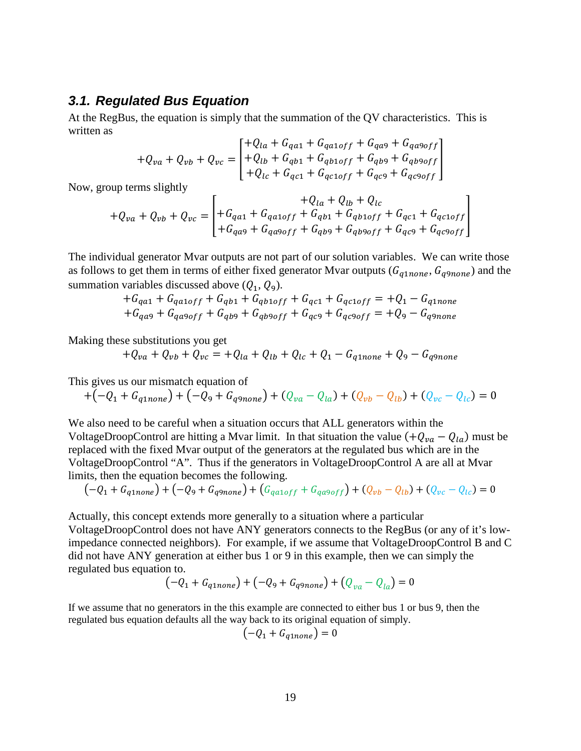#### <span id="page-18-0"></span>*3.1. Regulated Bus Equation*

At the RegBus, the equation is simply that the summation of the QV characteristics. This is written as

$$
+Q_{va} + Q_{vb} + Q_{vc} = \begin{bmatrix} +Q_{la} + G_{q\alpha 1} + G_{q\alpha 1 \text{ of } f} + G_{q\alpha 9} + G_{q\alpha 9 \text{ of } f} \\ + Q_{lb} + G_{q\beta 1} + G_{q\beta 1 \text{ of } f} + G_{q\beta 9} + G_{q\beta 9 \text{ of } f} \\ + Q_{lc} + G_{q\alpha 1} + G_{q\alpha 1 \text{ of } f} + G_{q\alpha 9} + G_{q\alpha 9 \text{ of } f} \end{bmatrix}
$$

Now, group terms slightly

$$
+Q_{va} + Q_{vb} + Q_{vc} = \begin{bmatrix} +G_{qa1} + G_{qa1off} + G_{qb1} + G_{qb1off} + G_{qc1} + G_{qc1off} \\ + G_{qa9} + G_{qa9off} + G_{qb9} + G_{qb9off} + G_{qc9} + G_{qc9off} \end{bmatrix}
$$

The individual generator Mvar outputs are not part of our solution variables. We can write those as follows to get them in terms of either fixed generator Mvar outputs ( $G_{q1none}$ ,  $G_{q9none}$ ) and the summation variables discussed above  $(Q_1, Q_9)$ .

$$
+G_{qa1} + G_{qa1off} + G_{qb1} + G_{qb1off} + G_{qc1} + G_{qc1off} = +Q_1 - G_{q1none}
$$
  
+
$$
G_{qa9} + G_{qa9off} + G_{qb9} + G_{qb9off} + G_{qc9} + G_{qc9off} = +Q_9 - G_{q9none}
$$

Making these substitutions you get

$$
+Q_{va} + Q_{vb} + Q_{vc} = +Q_{la} + Q_{lb} + Q_{lc} + Q_1 - G_{q1none} + Q_9 - G_{q9none}
$$

This gives us our mismatch equation of

$$
+(-Q_1 + G_{q1none}) + (-Q_9 + G_{q9none}) + (Q_{va} - Q_{la}) + (Q_{vb} - Q_{lb}) + (Q_{vc} - Q_{lc}) = 0
$$

We also need to be careful when a situation occurs that ALL generators within the VoltageDroopControl are hitting a Mvar limit. In that situation the value  $(+Q_{va} - Q_{la})$  must be replaced with the fixed Mvar output of the generators at the regulated bus which are in the VoltageDroopControl "A". Thus if the generators in VoltageDroopControl A are all at Mvar limits, then the equation becomes the following.

$$
(-Q_1 + G_{q1none}) + (-Q_9 + G_{q9none}) + (G_{q1off} + G_{q19off}) + (Q_{vb} - Q_{lb}) + (Q_{vc} - Q_{lc}) = 0
$$

Actually, this concept extends more generally to a situation where a particular VoltageDroopControl does not have ANY generators connects to the RegBus (or any of it's low-

impedance connected neighbors). For example, if we assume that VoltageDroopControl B and C did not have ANY generation at either bus 1 or 9 in this example, then we can simply the regulated bus equation to.

$$
(-Q_1 + G_{q1none}) + (-Q_9 + G_{q9none}) + (Q_{va} - Q_{la}) = 0
$$

If we assume that no generators in the this example are connected to either bus 1 or bus 9, then the regulated bus equation defaults all the way back to its original equation of simply.

$$
\left(-Q_1 + G_{q1none}\right) = 0
$$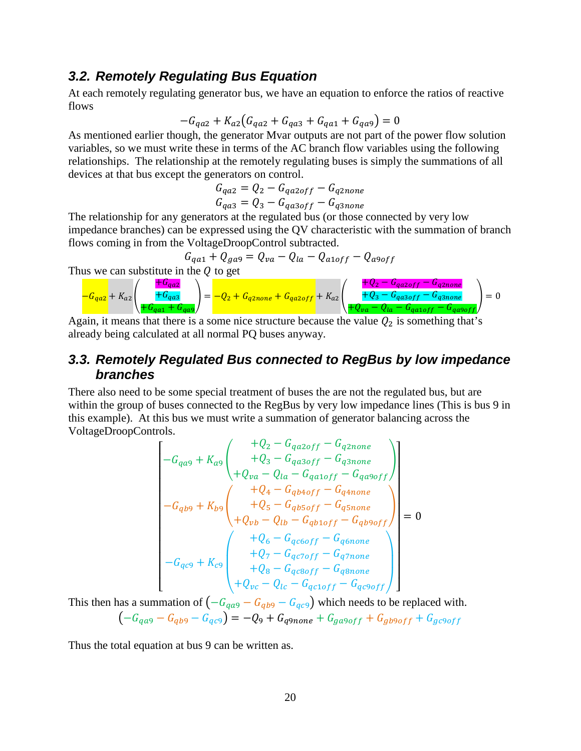### <span id="page-19-0"></span>*3.2. Remotely Regulating Bus Equation*

At each remotely regulating generator bus, we have an equation to enforce the ratios of reactive flows

$$
-G_{qa2} + K_{a2}(G_{qa2} + G_{qa3} + G_{qa1} + G_{qa9}) = 0
$$

As mentioned earlier though, the generator Mvar outputs are not part of the power flow solution variables, so we must write these in terms of the AC branch flow variables using the following relationships. The relationship at the remotely regulating buses is simply the summations of all devices at that bus except the generators on control.

$$
G_{qa2} = Q_2 - G_{qa2off} - G_{q2none}
$$
  

$$
G_{qa3} = Q_3 - G_{qa3off} - G_{q3none}
$$

The relationship for any generators at the regulated bus (or those connected by very low impedance branches) can be expressed using the QV characteristic with the summation of branch flows coming in from the VoltageDroopControl subtracted.

$$
G_{qa1} + Q_{ga9} = Q_{va} - Q_{la} - Q_{a1off} - Q_{a9off}
$$

Thus we can substitute in the  $Q$  to get

$$
-G_{qaz} + K_{az} \left( \frac{+G_{qaz}}{+G_{qaz} + G_{qaz}} \right) = -Q_2 + G_{qznone} + G_{qazoff} + K_{az} \left( \frac{+Q_2 - G_{qazoff} - G_{qznone}}{+Q_3 - G_{qazoff} - G_{qanone}} \right) = 0
$$

Again, it means that there is a some nice structure because the value  $Q_2$  is something that's already being calculated at all normal PQ buses anyway.

### <span id="page-19-1"></span>*3.3. Remotely Regulated Bus connected to RegBus by low impedance branches*

There also need to be some special treatment of buses the are not the regulated bus, but are within the group of buses connected to the RegBus by very low impedance lines (This is bus 9 in this example). At this bus we must write a summation of generator balancing across the VoltageDroopControls.

$$
\begin{bmatrix}\n+Q_2 - G_{qa2off} - G_{q2none} \\
+Q_3 - G_{qa3off} - G_{q3none} \\
+Q_{va} - Q_{la} - G_{qa1off} - G_{q3none} \\
+Q_4 - G_{qb4off} - G_{qa9off}\n\end{bmatrix}
$$
\n
$$
-G_{qbg} + K_{bg} \begin{bmatrix}\n+Q_4 - G_{qb4off} - G_{q4none} \\
+Q_5 - G_{qb5off} - G_{q5none} \\
+Q_{vb} - Q_{lb} - G_{qb1off} - G_{qb9off}\n\end{bmatrix} = 0
$$
\n
$$
-G_{qc9} + K_{c9} \begin{bmatrix}\n+Q_6 - G_{qc6off} - G_{q6none} \\
+Q_7 - G_{qc5off} - G_{q7none} \\
+Q_8 - G_{qc8off} - G_{q8none} \\
+Q_{vc} - Q_{lc} - G_{qc1off} - G_{qc9off}\n\end{bmatrix}
$$

This then has a summation of  $\left(-G_{q\alpha 9} - G_{q\beta 9} - G_{q\beta 9}\right)$  which needs to be replaced with.  $(-G_{qag} - G_{qbg} - G_{qcg}) = -Q_9 + G_{q9none} + G_{gag} + G_{gbogff} + G_{gcgogff}$ 

Thus the total equation at bus 9 can be written as.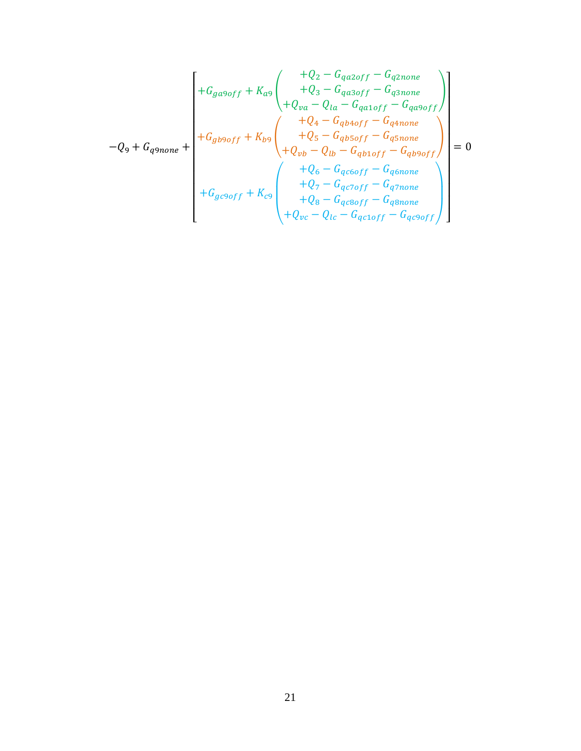$$
-Q_{9} + G_{q9none} + \begin{bmatrix} +G_{g\alpha9off} + K_{a9} & +Q_{2} - G_{q\alpha2off} - G_{q2none} \\ +Q_{3} - G_{q\alpha3off} - G_{q3none} \\ +Q_{va} - Q_{la} - G_{qa4off} - G_{q\alpha9off} \\ +Q_{4} - G_{qb4off} - G_{q4none} \\ +Q_{5} - G_{qb5off} - G_{q5none} \\ +Q_{vb} - Q_{lb} - G_{qb1off} - G_{qb9off} \\ +Q_{c} - G_{qc6off} - G_{q6none} \\ +Q_{7} - G_{qc6off} - G_{q7none} \\ +Q_{8} - G_{qc8off} - G_{q8none} \\ +Q_{bc} - Q_{lc} - G_{qc1off} - G_{q8none} \end{bmatrix} = 0
$$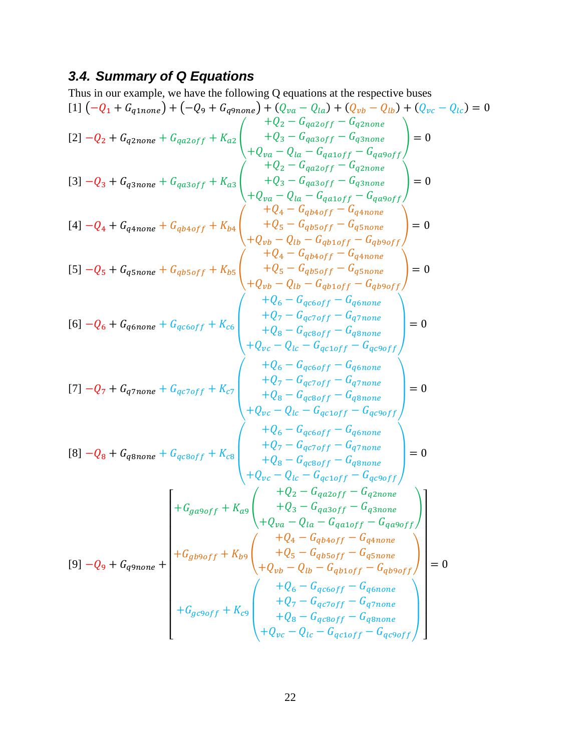# <span id="page-21-0"></span>*3.4. Summary of Q Equations*

Thus in our example, we have the following Q equations at the respective buses  
\n[11 
$$
(-Q_1 + G_{q1none}) + (-Q_9 + G_{q9none}) + (Q_{va} - Q_{la}) + (Q_{pv} - Q_{lb}) + (Q_{vc} - Q_{lc}) = 0
$$
  
\n[21  $-Q_2 + G_{q2none} + G_{qa2off} + K_{a2}$   $\begin{pmatrix} +Q_{va} - Q_{a2of} - G_{q2onre} \\ +Q_{y} - Q_{a2off} - G_{q2none} \\ +Q_{y} - Q_{ta} - G_{qa2off} - G_{q2none} \\ +Q_{y} - Q_{ta} - G_{q2off} - G_{q2none} \\ +Q_{y} - Q_{ta} - G_{q2off} - G_{q2none} \\ +Q_{y} - Q_{ta} - G_{q2off} - G_{q2none} \\ +Q_{y} - Q_{ta} - G_{q2off} - G_{q2none} \\ +Q_{y} - Q_{ta} - G_{q2off} - G_{q2none} \\ +Q_{y} - Q_{tb} - G_{ptoff} - G_{q3none} \\ +Q_{y} - Q_{tb} - G_{ptoff} - G_{q3none} \\ +Q_{y} - Q_{tb} - G_{ptoff} - G_{q3none} \\ +Q_{z} - G_{q2off} - G_{q3none} \\ +Q_{z} - G_{q2off} - G_{q3none} \\ +Q_{z} - G_{q2off} - G_{q3none} \\ +Q_{z} - G_{q2off} - G_{q3none} \\ +Q_{z} - G_{q2off} - G_{q3none} \\ +Q_{z} - G_{q2off} - G_{q3none} \\ +Q_{z} - G_{q2off} - G_{q3none} \\ +Q_{y} - Q_{tt} - G_{qtoff} - G_{q3none} \\ +Q_{y} - G_{qt} - G_{qt} - G_{q2off} \\ +Q_{y} - G_{qt} - G_{qt} - G_{q2off} \\ +Q_{y} - G_{qt} - G_{qt} - G_{q2off} \\ +Q_{y} - G_{qt} - G_{qt} - G_{q2off} \\ +Q_{z} - G_{qt} - G_{q2off} - G_{q3none} \\ +Q_{z} - G_{qt} - G_{q2off} - G_{q3none} \\ +Q_{z} - G_{qt} - G_{q1} - G_{q2off} \\ +Q_{z} - G_{qt} - G_{q1}$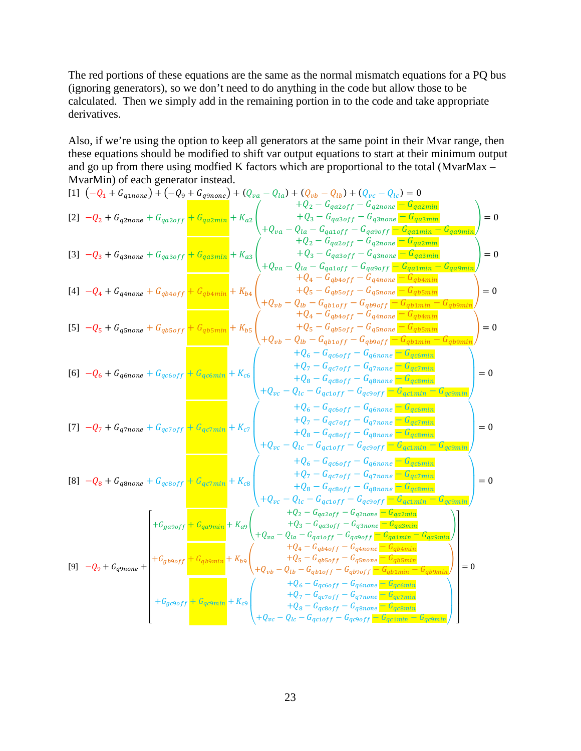The red portions of these equations are the same as the normal mismatch equations for a PQ bus (ignoring generators), so we don't need to do anything in the code but allow those to be calculated. Then we simply add in the remaining portion in to the code and take appropriate derivatives.

Also, if we're using the option to keep all generators at the same point in their Mvar range, then these equations should be modified to shift var output equations to start at their minimum output and go up from there using modfied K factors which are proportional to the total (MvarMax – MvarMin) of each generator instead.

$$
[1] (-Q_{1} + G_{qanone}) + (-Q_{9} + G_{qanone}) + (Q_{va} - Q_{lu}) + (Q_{vv} - Q_{lb}) + (Q_{vc} - Q_{lc}) = 0
$$
\n
$$
[2] -Q_{2} + G_{qanone} + G_{qazoff} + G_{qazmin} + K_{az} \left( +Q_{va} - Q_{ia} - G_{qaxoff} - G_{qanone} - G_{qazmin} - G_{qazmin} - G_{qazmin}) \right) = 0
$$
\n
$$
[3] -Q_{3} + G_{qanone} + G_{qazoff} + G_{qazmin} + K_{az} \left( +Q_{va} - Q_{ia} - G_{qaxoff} - G_{qaooff} - G_{qaxmin} - G_{qazmin} - G_{qazmin} - G_{qazmin} - G_{qazmin} - G_{qazmin} - G_{qazmin} - G_{qazmin} - G_{qazmin} - G_{qazmin} - G_{qazmin} - G_{qazmin} - G_{qazmin} - G_{qazmin} - G_{qazmin} - G_{qazmin} - G_{qazmin} - G_{qazmin} - G_{qazmin} - G_{qazmin} - G_{qazmin} - G_{qazmin} - G_{qazmin} - G_{qazmin} - G_{qazmin} - G_{qazmin} - G_{qazmin} - G_{qazmin} - G_{qazmin} - G_{qazmin} - G_{qazmin} - G_{qazmin} - G_{qazmin} - G_{qazmin} - G_{qazmin} - G_{qazmin} - G_{qazmin} - G_{qazmin} - G_{qazmin} - G_{qazmin} - G_{qazmin} - G_{qazmin} - G_{qazmin} - G_{qazmin} - G_{qazmin} - G_{qazmin} - G_{qazmin} - G_{qazmin} - G_{qazmin} - G_{qazmin} - G_{qazmin} - G_{qazmin} - G_{qazmin} - G_{qazmin} - G_{qazmin} - G_{qazmin} - G_{qazmin} - G_{qazmin} - G_{qazmin} - G_{qazmin} - G_{qazmin} - G_{qazmin} - G_{qazmin} - G_{qazmin} - G_{qazmin} - G_{qazmin} - G_{qazmin} - G_{qazmin} - G_{qazmin} - G_{qazmin} - G_{qazmin} - G_{qazmin} - G_{qazmin} - G_{qazmin} - G_{
$$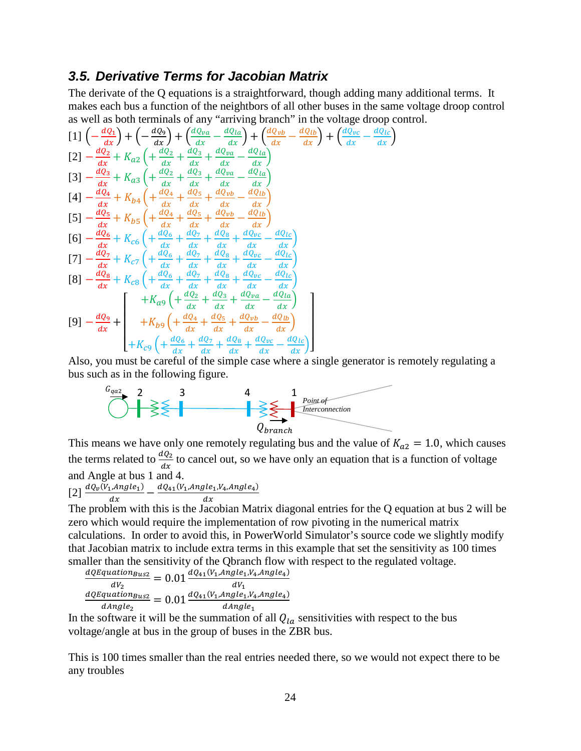### <span id="page-23-0"></span>*3.5. Derivative Terms for Jacobian Matrix*

The derivate of the Q equations is a straightforward, though adding many additional terms. It makes each bus a function of the neightbors of all other buses in the same voltage droop control as well as both terminals of any "arriving branch" in the voltage droop control.

$$
[1]\left(-\frac{dQ_{1}}{dx}\right)+\left(-\frac{dQ_{9}}{dx}\right)+\left(\frac{dQ_{va}}{dx}-\frac{dQ_{la}}{dx}\right)+\left(\frac{dQ_{vb}}{dx}-\frac{dQ_{lb}}{dx}\right)+\left(\frac{dQ_{vc}}{dx}-\frac{dQ_{lb}}{dx}\right)
$$
\n
$$
[2]-\frac{dQ_{2}}{dx}+K_{a2}\left(+\frac{dQ_{2}}{dx}+\frac{dQ_{3}}{dx}+\frac{dQ_{va}}{dx}-\frac{dQ_{la}}{dx}\right)
$$
\n
$$
[3]-\frac{dQ_{3}}{dx}+K_{a3}\left(+\frac{dQ_{2}}{dx}+\frac{dQ_{3}}{dx}+\frac{dQ_{va}}{dx}-\frac{dQ_{la}}{dx}\right)
$$
\n
$$
[4]-\frac{dQ_{4}}{dx}+K_{b4}\left(+\frac{dQ_{4}}{dx}+\frac{dQ_{5}}{dx}+\frac{dQ_{vb}}{dx}-\frac{dQ_{lb}}{dx}\right)
$$
\n
$$
[5]-\frac{dQ_{5}}{dx}+K_{b5}\left(+\frac{dQ_{4}}{dx}+\frac{dQ_{5}}{dx}+\frac{dQ_{vb}}{dx}-\frac{dQ_{lb}}{dx}\right)
$$
\n
$$
[6]-\frac{dQ_{6}}{dx}+K_{c6}\left(+\frac{dQ_{6}}{dx}+\frac{dQ_{7}}{dx}+\frac{dQ_{8}}{dx}+\frac{dQ_{bc}}{dx}-\frac{dQ_{lc}}{dx}\right)
$$
\n
$$
[7]-\frac{dQ_{7}}{dx}+K_{c7}\left(+\frac{dQ_{6}}{dx}+\frac{dQ_{7}}{dx}+\frac{dQ_{8}}{dx}+\frac{dQ_{bc}}{dx}-\frac{dQ_{lc}}{dx}\right)
$$
\n
$$
[8]-\frac{dQ_{8}}{dx}+K_{c8}\left(+\frac{dQ_{6}}{dx}+\frac{dQ_{7}}{dx}+\frac{dQ_{8}}{dx}+\frac{dQ_{bc}}{dx}-\frac{dQ_{lc}}{dx}\right)
$$
\n
$$
[9]-\frac{dQ_{9}}{dx}+\left(+K_{a9}\left(+\frac{dQ_{4}}{dx}+\frac{dQ_{5}}{dx}+\frac{dQ_{ba}}{dx}-\frac{dQ_{ba}}{
$$

Also, you must be careful of the simple case where a single generator is remotely regulating a bus such as in the following figure.

$$
\begin{array}{|c|c|c|}\n \hline\n G_{qaz} & 2 & 3 & 4 & 1 \\
 \hline\n \end{array}
$$

This means we have only one remotely regulating bus and the value of  $K_{a2} = 1.0$ , which causes the terms related to  $\frac{dQ_2}{dx}$  to cancel out, so we have only an equation that is a function of voltage and Angle at bus 1 and 4.

[2] 
$$
\frac{dQ_v(V_1, Angle_1)}{dx} - \frac{dQ_{41}(V_1, Angle_1, V_4, Angle_4)}{dx}
$$

The problem with this is the Jacobian Matrix diagonal entries for the Q equation at bus 2 will be zero which would require the implementation of row pivoting in the numerical matrix calculations. In order to avoid this, in PowerWorld Simulator's source code we slightly modify that Jacobian matrix to include extra terms in this example that set the sensitivity as 100 times smaller than the sensitivity of the Qbranch flow with respect to the regulated voltage.

$$
\frac{dQEquation_{Bus2}}{dV_2} = 0.01 \frac{dQ_{41}(V_1, Angle_1, V_4, Angle_4)}{dV_1}
$$

$$
\frac{dQEquation_{Bus2}}{dAngle_2} = 0.01 \frac{dQ_{41}(V_1, Angle_1, V_4, Angle_4)}{dAngle_1}
$$

In the software it will be the summation of all  $Q_{l\alpha}$  sensitivities with respect to the bus voltage/angle at bus in the group of buses in the ZBR bus.

This is 100 times smaller than the real entries needed there, so we would not expect there to be any troubles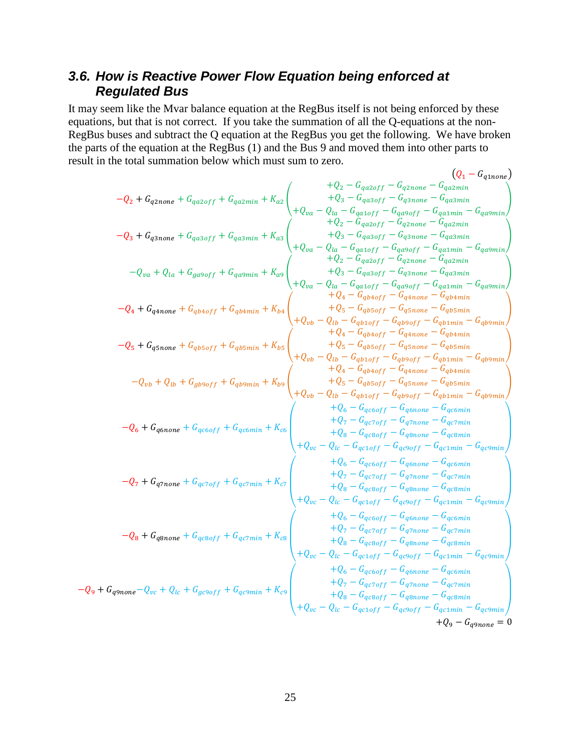## <span id="page-24-0"></span>*3.6. How is Reactive Power Flow Equation being enforced at Regulated Bus*

It may seem like the Mvar balance equation at the RegBus itself is not being enforced by these equations, but that is not correct. If you take the summation of all the Q-equations at the non-RegBus buses and subtract the Q equation at the RegBus you get the following. We have broken the parts of the equation at the RegBus (1) and the Bus 9 and moved them into other parts to result in the total summation below which must sum to zero.  $\lambda$ 

$$
-Q_2 + G_{q2none} + G_{q2cmie} + G_{q2cmin} + K_{aq} + G_{q2cmin} + K_{aq} + G_{q2cmin} + K_{aq} + G_{q2cmin} + G_{q2cmin} - G_{q2cmin} - G_{q2cmin} - G_{q2cmin} - G_{q2cmin} - G_{q2cmin} - G_{q2cmin} - G_{q2cmin} - G_{q2cmin} - G_{q2cmin} - G_{q2cmin} - G_{q2cmin} - G_{q2cmin} - G_{q2cmin} - G_{q2cmin} - G_{q2cmin} - G_{q2cmin} - G_{q2cmin} - G_{q2cmin} - G_{q2cmin} - G_{q2cmin} - G_{q2cmin} - G_{q2cmin} - G_{q2cmin} - G_{q2cmin} - G_{q2cmin} - G_{q2cmin} - G_{q2cmin} - G_{q2cmin} - G_{q2cmin} - G_{q2cmin} - G_{q2cmin} - G_{q2cmin} - G_{q2cmin} - G_{q2cmin} - G_{q2cmin} - G_{q2cmin} - G_{q2cmin} - G_{q2cmin} - G_{q2cmin} - G_{q2cmin} - G_{q2cmin} - G_{q2cmin} - G_{q2cmin} - G_{q2cmin} - G_{q2cmin} - G_{q2cmin} - G_{q2cmin} - G_{q2cmin} - G_{q2cmin} - G_{q2cmin} - G_{q2cmin} - G_{q2cmin} - G_{q2cmin} - G_{q2cmin} - G_{q2cmin} - G_{q2cmin} - G_{q2cmin} - G_{q2cmin} - G_{q2cmin} - G_{q2cmin} - G_{q2cmin} - G_{q2cmin} - G_{q2cmin} - G_{q2cmin} - G_{q2cmin} - G_{q2cmin} - G_{q2cmin} - G_{q2cmin} - G_{q2cmin} - G_{q2cmin} - G_{q2cmin} - G_{q2cmin} - G_{q2cmin} - G_{q2cmin} - G_{q2cmin} - G_{q2cmin} - G_{q2cmin} - G_{q2cmin} - G_{q2cmin} - G_{q2cmin} - G_{q2cmin} - G_{q2cmin} - G_{q2cmin} - G_{q2cmin} - G_{q2cmin} - G_{q2
$$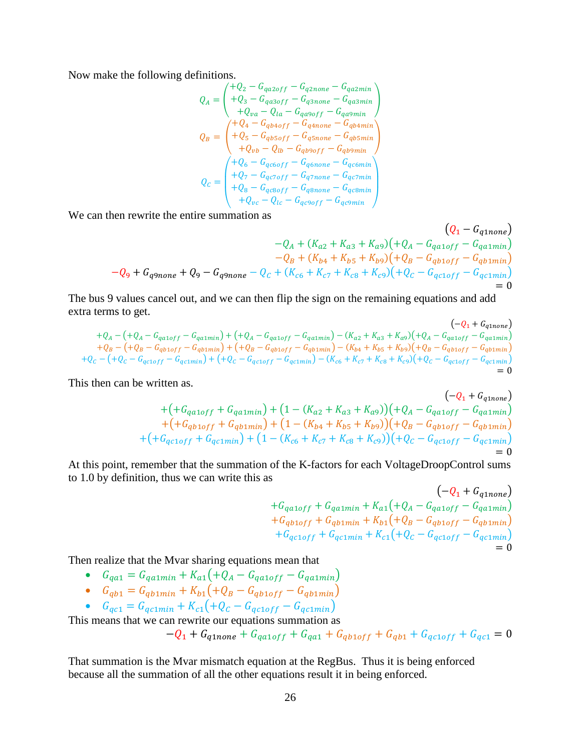Now make the following definitions.

$$
Q_{A} = \begin{pmatrix} +Q_{2} - G_{qa2off} - G_{q2none} - G_{qa2min} \\ +Q_{3} - G_{qa3off} - G_{q3none} - G_{qa3min} \\ +Q_{va} - Q_{la} - G_{qa9off} - G_{qa9min} \end{pmatrix}
$$
  
\n
$$
Q_{B} = \begin{pmatrix} +Q_{4} - G_{qbboff} - G_{q4none} - G_{qbbmin} \\ +Q_{5} - G_{qbsoff} - G_{q5none} - G_{qbsmin} \\ +Q_{vb} - Q_{lb} - G_{qbsoff} - G_{qbsmin} \\ +Q_{rb} - Q_{lb} - G_{q0of} - G_{q0min} \\ +Q_{6} - G_{qcooff} - G_{q7none} - G_{qc5min} \\ +Q_{8} - G_{qcsoff} - G_{q8none} - G_{qc8min} \\ +Q_{vc} - Q_{lc} - G_{qcooff} - G_{qcomin} \end{pmatrix}
$$

We can then rewrite the entire summation as

$$
(Q_1 - G_{q1none})
$$
  
\n
$$
-Q_A + (K_{a2} + K_{a3} + K_{a9})(+Q_A - G_{qa1off} - G_{qa1min})
$$
  
\n
$$
-Q_B + (K_{b4} + K_{b5} + K_{b9})(+Q_B - G_{qb1off} - G_{qb1min})
$$
  
\n
$$
-Q_9 + G_{q9none} + Q_9 - G_{q9none} - Q_C + (K_{c6} + K_{c7} + K_{c8} + K_{c9})(+Q_C - G_{qc1off} - G_{qc1min})
$$
  
\n
$$
= 0
$$

The bus 9 values cancel out, and we can then flip the sign on the remaining equations and add extra terms to get.  $\left( \begin{array}{ccc} 0 & -1 & -1 \\ 0 & 0 & -1 \end{array} \right)$ 

$$
+Q_A - (+Q_A - G_{qaioff} - G_{qaimin}) + (+Q_A - G_{qaioff} - G_{qaimin}) - (K_{a2} + K_{a3} + K_{a9})(+Q_A - G_{qaioff} - G_{qaimin})
$$
  
+
$$
+Q_B - (+Q_B - G_{qbioff} - G_{qbimin}) + (+Q_B - G_{qbioff} - G_{qbimin}) - (K_{b4} + K_{b5} + K_{b9})(+Q_B - G_{qbioff} - G_{qbimin})
$$
  
+
$$
+Q_C - (+Q_C - G_{qcioff} - G_{qcimin}) + (+Q_C - G_{qcioff} - G_{qcimin}) - (K_{c6} + K_{c7} + K_{c8} + K_{c9})(+Q_C - G_{qcioff} - G_{qcimin})
$$
  
= 0

This then can be written as.

$$
+ (+Gqa1off + Gqa1min) + (1 - (Ka2 + Ka3 + Ka9)) + (4 - Gqa1off - Gqa1min) + (+Gqb1off + Gqb1min) + (1 - (Kb4 + Kb5 + Kb9)) + (4 - Gqb1off - Gqb1min) + (+Gqc1off + Gqc1min) + (1 - (Kc6 + Kc7 + Kc8 + Kc9)) + Qc - Gqc1off - Gqc1min) = 0
$$

At this point, remember that the summation of the K-factors for each VoltageDroopControl sums to 1.0 by definition, thus we can write this as

$$
(-Q_{1} + G_{q1none})
$$
  
+ $G_{qa1off} + G_{qa1min} + K_{a1}(+Q_{A} - G_{qa1off} - G_{qa1min})$   
+ $G_{qb1off} + G_{qb1min} + K_{b1}(+Q_{B} - G_{qb1off} - G_{qb1min})$   
+ $G_{qc1off} + G_{qc1min} + K_{c1}(+Q_{C} - G_{qc1off} - G_{qc1min})$   
= 0

Then realize that the Mvar sharing equations mean that

- $G_{q a 1} = G_{q a 1 min} + K_{a 1} ( + Q_A G_{q a 1 of f} G_{q a 1 min})$
- $G_{qb1} = G_{qb1min} + K_{b1} \left( + Q_B G_{qb1off} G_{qb1min} \right)$
- $G_{qc1} = G_{qc1min} + K_{c1} ( + Q_c G_{qc1off} G_{qc1min})$

This means that we can rewrite our equations summation as  
\n
$$
-Q_1 + G_{q1none} + G_{qa1off} + G_{qa1} + G_{qb1off} + G_{qb1} + G_{qc1off} + G_{qc1} = 0
$$

That summation is the Mvar mismatch equation at the RegBus. Thus it is being enforced because all the summation of all the other equations result it in being enforced.